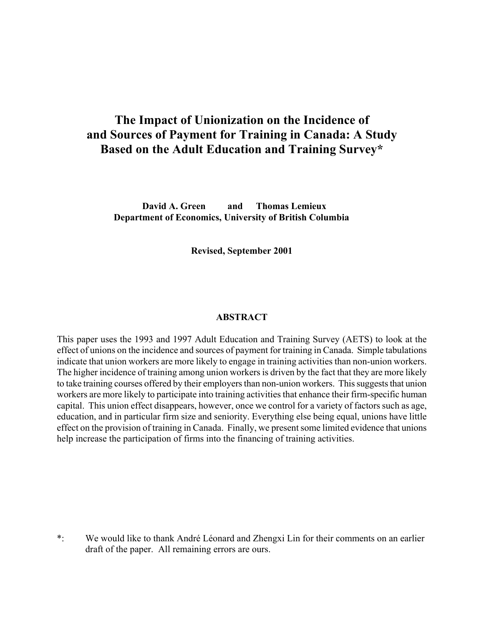# **The Impact of Unionization on the Incidence of and Sources of Payment for Training in Canada: A Study Based on the Adult Education and Training Survey\***

**David A. Green and Thomas Lemieux Department of Economics, University of British Columbia** 

 **Revised, September 2001** 

# **ABSTRACT**

This paper uses the 1993 and 1997 Adult Education and Training Survey (AETS) to look at the effect of unions on the incidence and sources of payment for training in Canada. Simple tabulations indicate that union workers are more likely to engage in training activities than non-union workers. The higher incidence of training among union workers is driven by the fact that they are more likely to take training courses offered by their employers than non-union workers. This suggests that union workers are more likely to participate into training activities that enhance their firm-specific human capital. This union effect disappears, however, once we control for a variety of factors such as age, education, and in particular firm size and seniority. Everything else being equal, unions have little effect on the provision of training in Canada. Finally, we present some limited evidence that unions help increase the participation of firms into the financing of training activities.

\*: We would like to thank André Léonard and Zhengxi Lin for their comments on an earlier draft of the paper. All remaining errors are ours.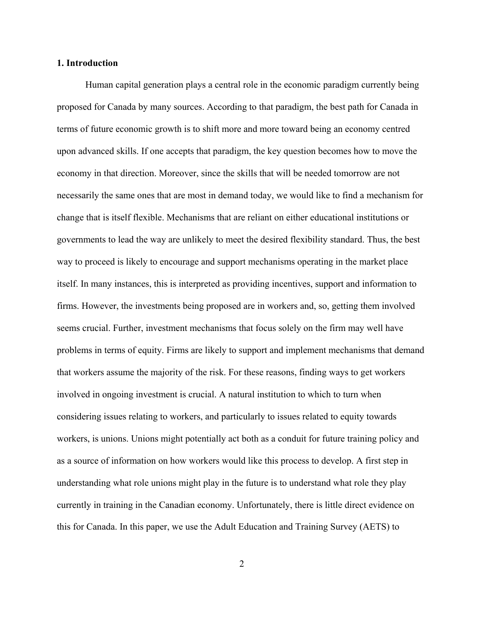#### **1. Introduction**

Human capital generation plays a central role in the economic paradigm currently being proposed for Canada by many sources. According to that paradigm, the best path for Canada in terms of future economic growth is to shift more and more toward being an economy centred upon advanced skills. If one accepts that paradigm, the key question becomes how to move the economy in that direction. Moreover, since the skills that will be needed tomorrow are not necessarily the same ones that are most in demand today, we would like to find a mechanism for change that is itself flexible. Mechanisms that are reliant on either educational institutions or governments to lead the way are unlikely to meet the desired flexibility standard. Thus, the best way to proceed is likely to encourage and support mechanisms operating in the market place itself. In many instances, this is interpreted as providing incentives, support and information to firms. However, the investments being proposed are in workers and, so, getting them involved seems crucial. Further, investment mechanisms that focus solely on the firm may well have problems in terms of equity. Firms are likely to support and implement mechanisms that demand that workers assume the majority of the risk. For these reasons, finding ways to get workers involved in ongoing investment is crucial. A natural institution to which to turn when considering issues relating to workers, and particularly to issues related to equity towards workers, is unions. Unions might potentially act both as a conduit for future training policy and as a source of information on how workers would like this process to develop. A first step in understanding what role unions might play in the future is to understand what role they play currently in training in the Canadian economy. Unfortunately, there is little direct evidence on this for Canada. In this paper, we use the Adult Education and Training Survey (AETS) to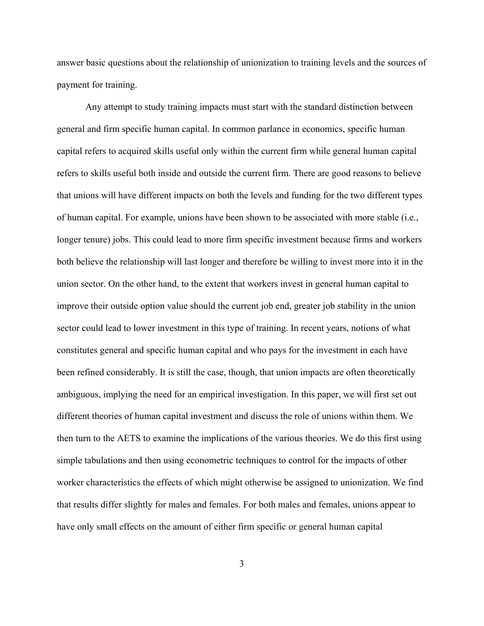answer basic questions about the relationship of unionization to training levels and the sources of payment for training.

Any attempt to study training impacts must start with the standard distinction between general and firm specific human capital. In common parlance in economics, specific human capital refers to acquired skills useful only within the current firm while general human capital refers to skills useful both inside and outside the current firm. There are good reasons to believe that unions will have different impacts on both the levels and funding for the two different types of human capital. For example, unions have been shown to be associated with more stable (i.e., longer tenure) jobs. This could lead to more firm specific investment because firms and workers both believe the relationship will last longer and therefore be willing to invest more into it in the union sector. On the other hand, to the extent that workers invest in general human capital to improve their outside option value should the current job end, greater job stability in the union sector could lead to lower investment in this type of training. In recent years, notions of what constitutes general and specific human capital and who pays for the investment in each have been refined considerably. It is still the case, though, that union impacts are often theoretically ambiguous, implying the need for an empirical investigation. In this paper, we will first set out different theories of human capital investment and discuss the role of unions within them. We then turn to the AETS to examine the implications of the various theories. We do this first using simple tabulations and then using econometric techniques to control for the impacts of other worker characteristics the effects of which might otherwise be assigned to unionization. We find that results differ slightly for males and females. For both males and females, unions appear to have only small effects on the amount of either firm specific or general human capital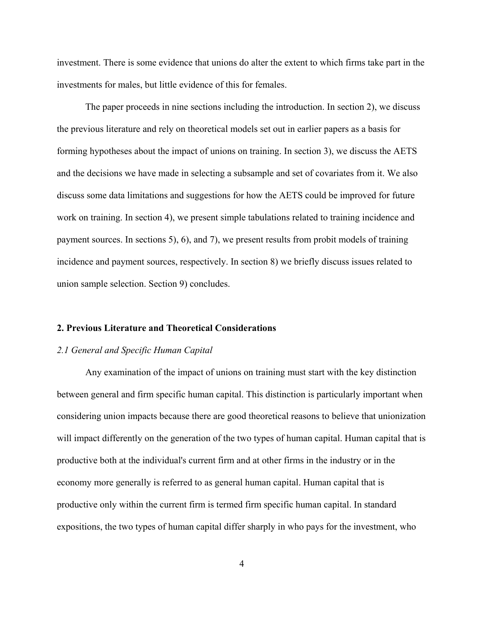investment. There is some evidence that unions do alter the extent to which firms take part in the investments for males, but little evidence of this for females.

The paper proceeds in nine sections including the introduction. In section 2), we discuss the previous literature and rely on theoretical models set out in earlier papers as a basis for forming hypotheses about the impact of unions on training. In section 3), we discuss the AETS and the decisions we have made in selecting a subsample and set of covariates from it. We also discuss some data limitations and suggestions for how the AETS could be improved for future work on training. In section 4), we present simple tabulations related to training incidence and payment sources. In sections 5), 6), and 7), we present results from probit models of training incidence and payment sources, respectively. In section 8) we briefly discuss issues related to union sample selection. Section 9) concludes.

#### **2. Previous Literature and Theoretical Considerations**

#### *2.1 General and Specific Human Capital*

Any examination of the impact of unions on training must start with the key distinction between general and firm specific human capital. This distinction is particularly important when considering union impacts because there are good theoretical reasons to believe that unionization will impact differently on the generation of the two types of human capital. Human capital that is productive both at the individual's current firm and at other firms in the industry or in the economy more generally is referred to as general human capital. Human capital that is productive only within the current firm is termed firm specific human capital. In standard expositions, the two types of human capital differ sharply in who pays for the investment, who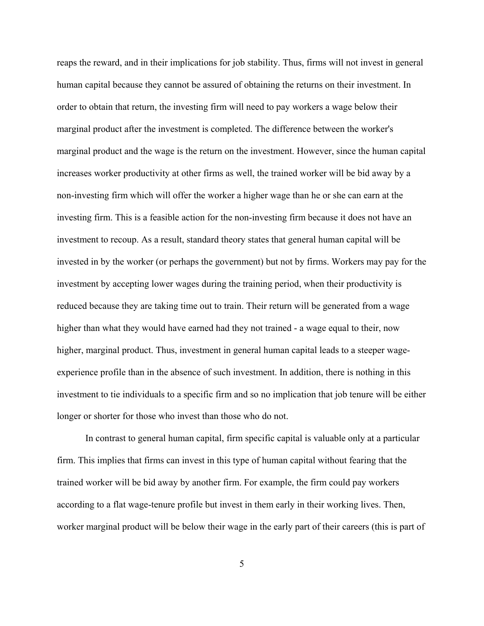reaps the reward, and in their implications for job stability. Thus, firms will not invest in general human capital because they cannot be assured of obtaining the returns on their investment. In order to obtain that return, the investing firm will need to pay workers a wage below their marginal product after the investment is completed. The difference between the worker's marginal product and the wage is the return on the investment. However, since the human capital increases worker productivity at other firms as well, the trained worker will be bid away by a non-investing firm which will offer the worker a higher wage than he or she can earn at the investing firm. This is a feasible action for the non-investing firm because it does not have an investment to recoup. As a result, standard theory states that general human capital will be invested in by the worker (or perhaps the government) but not by firms. Workers may pay for the investment by accepting lower wages during the training period, when their productivity is reduced because they are taking time out to train. Their return will be generated from a wage higher than what they would have earned had they not trained - a wage equal to their, now higher, marginal product. Thus, investment in general human capital leads to a steeper wageexperience profile than in the absence of such investment. In addition, there is nothing in this investment to tie individuals to a specific firm and so no implication that job tenure will be either longer or shorter for those who invest than those who do not.

In contrast to general human capital, firm specific capital is valuable only at a particular firm. This implies that firms can invest in this type of human capital without fearing that the trained worker will be bid away by another firm. For example, the firm could pay workers according to a flat wage-tenure profile but invest in them early in their working lives. Then, worker marginal product will be below their wage in the early part of their careers (this is part of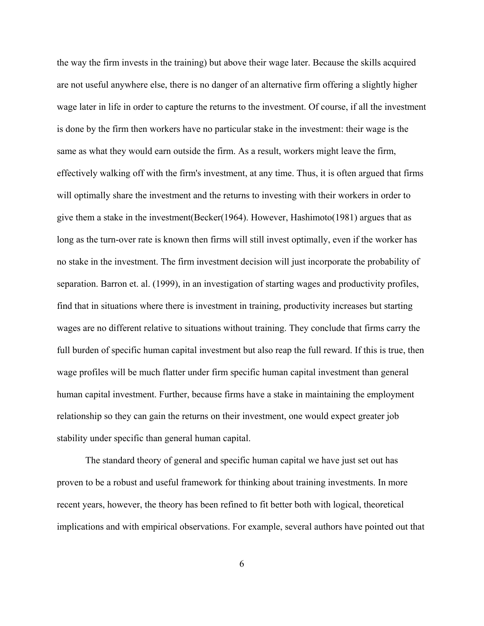the way the firm invests in the training) but above their wage later. Because the skills acquired are not useful anywhere else, there is no danger of an alternative firm offering a slightly higher wage later in life in order to capture the returns to the investment. Of course, if all the investment is done by the firm then workers have no particular stake in the investment: their wage is the same as what they would earn outside the firm. As a result, workers might leave the firm, effectively walking off with the firm's investment, at any time. Thus, it is often argued that firms will optimally share the investment and the returns to investing with their workers in order to give them a stake in the investment(Becker(1964). However, Hashimoto(1981) argues that as long as the turn-over rate is known then firms will still invest optimally, even if the worker has no stake in the investment. The firm investment decision will just incorporate the probability of separation. Barron et. al. (1999), in an investigation of starting wages and productivity profiles, find that in situations where there is investment in training, productivity increases but starting wages are no different relative to situations without training. They conclude that firms carry the full burden of specific human capital investment but also reap the full reward. If this is true, then wage profiles will be much flatter under firm specific human capital investment than general human capital investment. Further, because firms have a stake in maintaining the employment relationship so they can gain the returns on their investment, one would expect greater job stability under specific than general human capital.

The standard theory of general and specific human capital we have just set out has proven to be a robust and useful framework for thinking about training investments. In more recent years, however, the theory has been refined to fit better both with logical, theoretical implications and with empirical observations. For example, several authors have pointed out that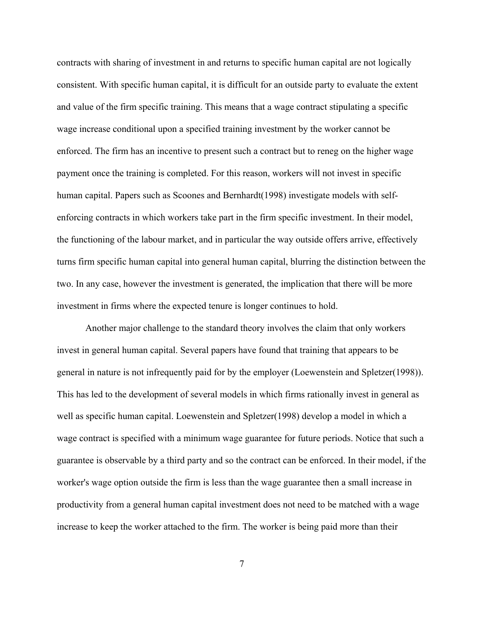contracts with sharing of investment in and returns to specific human capital are not logically consistent. With specific human capital, it is difficult for an outside party to evaluate the extent and value of the firm specific training. This means that a wage contract stipulating a specific wage increase conditional upon a specified training investment by the worker cannot be enforced. The firm has an incentive to present such a contract but to reneg on the higher wage payment once the training is completed. For this reason, workers will not invest in specific human capital. Papers such as Scoones and Bernhardt(1998) investigate models with selfenforcing contracts in which workers take part in the firm specific investment. In their model, the functioning of the labour market, and in particular the way outside offers arrive, effectively turns firm specific human capital into general human capital, blurring the distinction between the two. In any case, however the investment is generated, the implication that there will be more investment in firms where the expected tenure is longer continues to hold.

Another major challenge to the standard theory involves the claim that only workers invest in general human capital. Several papers have found that training that appears to be general in nature is not infrequently paid for by the employer (Loewenstein and Spletzer(1998)). This has led to the development of several models in which firms rationally invest in general as well as specific human capital. Loewenstein and Spletzer(1998) develop a model in which a wage contract is specified with a minimum wage guarantee for future periods. Notice that such a guarantee is observable by a third party and so the contract can be enforced. In their model, if the worker's wage option outside the firm is less than the wage guarantee then a small increase in productivity from a general human capital investment does not need to be matched with a wage increase to keep the worker attached to the firm. The worker is being paid more than their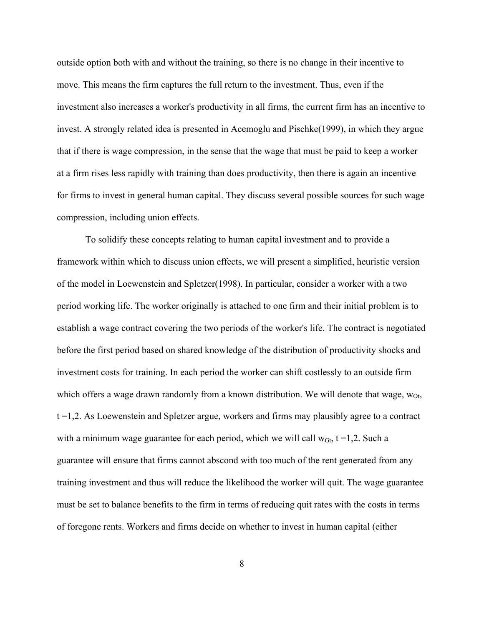outside option both with and without the training, so there is no change in their incentive to move. This means the firm captures the full return to the investment. Thus, even if the investment also increases a worker's productivity in all firms, the current firm has an incentive to invest. A strongly related idea is presented in Acemoglu and Pischke(1999), in which they argue that if there is wage compression, in the sense that the wage that must be paid to keep a worker at a firm rises less rapidly with training than does productivity, then there is again an incentive for firms to invest in general human capital. They discuss several possible sources for such wage compression, including union effects.

To solidify these concepts relating to human capital investment and to provide a framework within which to discuss union effects, we will present a simplified, heuristic version of the model in Loewenstein and Spletzer(1998). In particular, consider a worker with a two period working life. The worker originally is attached to one firm and their initial problem is to establish a wage contract covering the two periods of the worker's life. The contract is negotiated before the first period based on shared knowledge of the distribution of productivity shocks and investment costs for training. In each period the worker can shift costlessly to an outside firm which offers a wage drawn randomly from a known distribution. We will denote that wage,  $w_{0t}$ , t =1,2. As Loewenstein and Spletzer argue, workers and firms may plausibly agree to a contract with a minimum wage guarantee for each period, which we will call  $w_{G_t}$ , t =1,2. Such a guarantee will ensure that firms cannot abscond with too much of the rent generated from any training investment and thus will reduce the likelihood the worker will quit. The wage guarantee must be set to balance benefits to the firm in terms of reducing quit rates with the costs in terms of foregone rents. Workers and firms decide on whether to invest in human capital (either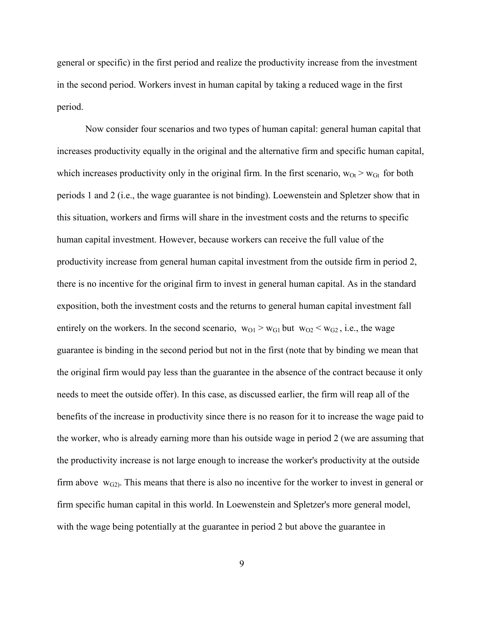general or specific) in the first period and realize the productivity increase from the investment in the second period. Workers invest in human capital by taking a reduced wage in the first period.

Now consider four scenarios and two types of human capital: general human capital that increases productivity equally in the original and the alternative firm and specific human capital, which increases productivity only in the original firm. In the first scenario,  $w_{\text{O}t} > w_{\text{G}t}$  for both periods 1 and 2 (i.e., the wage guarantee is not binding). Loewenstein and Spletzer show that in this situation, workers and firms will share in the investment costs and the returns to specific human capital investment. However, because workers can receive the full value of the productivity increase from general human capital investment from the outside firm in period 2, there is no incentive for the original firm to invest in general human capital. As in the standard exposition, both the investment costs and the returns to general human capital investment fall entirely on the workers. In the second scenario,  $w_{01} > w_{G1}$  but  $w_{02} < w_{G2}$ , i.e., the wage guarantee is binding in the second period but not in the first (note that by binding we mean that the original firm would pay less than the guarantee in the absence of the contract because it only needs to meet the outside offer). In this case, as discussed earlier, the firm will reap all of the benefits of the increase in productivity since there is no reason for it to increase the wage paid to the worker, who is already earning more than his outside wage in period 2 (we are assuming that the productivity increase is not large enough to increase the worker's productivity at the outside firm above  $w_{G2}$ . This means that there is also no incentive for the worker to invest in general or firm specific human capital in this world. In Loewenstein and Spletzer's more general model, with the wage being potentially at the guarantee in period 2 but above the guarantee in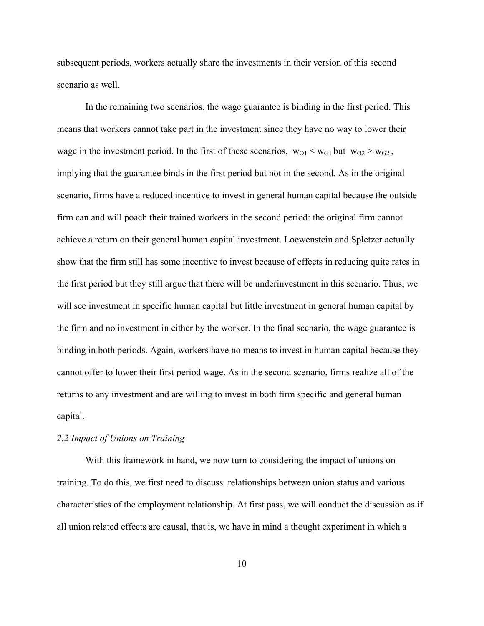subsequent periods, workers actually share the investments in their version of this second scenario as well.

In the remaining two scenarios, the wage guarantee is binding in the first period. This means that workers cannot take part in the investment since they have no way to lower their wage in the investment period. In the first of these scenarios,  $w_{01} < w_{G1}$  but  $w_{02} > w_{G2}$ , implying that the guarantee binds in the first period but not in the second. As in the original scenario, firms have a reduced incentive to invest in general human capital because the outside firm can and will poach their trained workers in the second period: the original firm cannot achieve a return on their general human capital investment. Loewenstein and Spletzer actually show that the firm still has some incentive to invest because of effects in reducing quite rates in the first period but they still argue that there will be underinvestment in this scenario. Thus, we will see investment in specific human capital but little investment in general human capital by the firm and no investment in either by the worker. In the final scenario, the wage guarantee is binding in both periods. Again, workers have no means to invest in human capital because they cannot offer to lower their first period wage. As in the second scenario, firms realize all of the returns to any investment and are willing to invest in both firm specific and general human capital.

## *2.2 Impact of Unions on Training*

With this framework in hand, we now turn to considering the impact of unions on training. To do this, we first need to discuss relationships between union status and various characteristics of the employment relationship. At first pass, we will conduct the discussion as if all union related effects are causal, that is, we have in mind a thought experiment in which a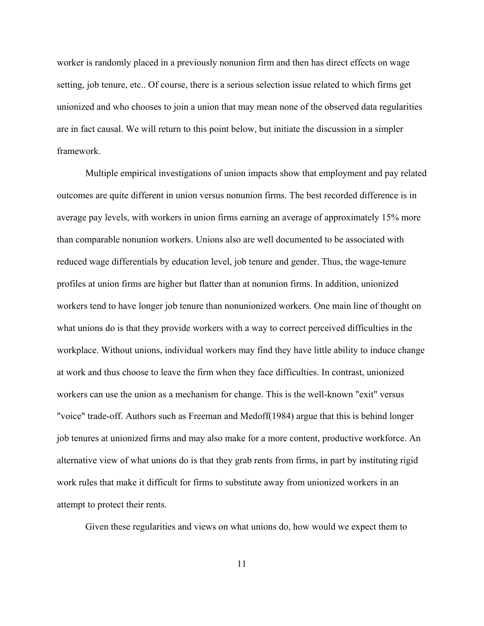worker is randomly placed in a previously nonunion firm and then has direct effects on wage setting, job tenure, etc.. Of course, there is a serious selection issue related to which firms get unionized and who chooses to join a union that may mean none of the observed data regularities are in fact causal. We will return to this point below, but initiate the discussion in a simpler framework.

Multiple empirical investigations of union impacts show that employment and pay related outcomes are quite different in union versus nonunion firms. The best recorded difference is in average pay levels, with workers in union firms earning an average of approximately 15% more than comparable nonunion workers. Unions also are well documented to be associated with reduced wage differentials by education level, job tenure and gender. Thus, the wage-tenure profiles at union firms are higher but flatter than at nonunion firms. In addition, unionized workers tend to have longer job tenure than nonunionized workers. One main line of thought on what unions do is that they provide workers with a way to correct perceived difficulties in the workplace. Without unions, individual workers may find they have little ability to induce change at work and thus choose to leave the firm when they face difficulties. In contrast, unionized workers can use the union as a mechanism for change. This is the well-known "exit" versus "voice" trade-off. Authors such as Freeman and Medoff(1984) argue that this is behind longer job tenures at unionized firms and may also make for a more content, productive workforce. An alternative view of what unions do is that they grab rents from firms, in part by instituting rigid work rules that make it difficult for firms to substitute away from unionized workers in an attempt to protect their rents.

Given these regularities and views on what unions do, how would we expect them to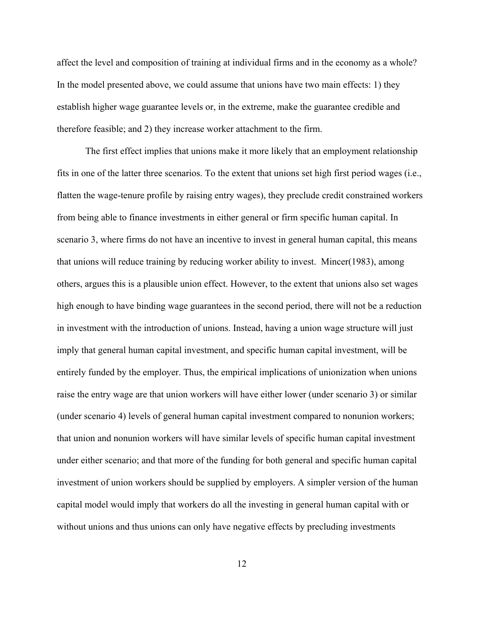affect the level and composition of training at individual firms and in the economy as a whole? In the model presented above, we could assume that unions have two main effects: 1) they establish higher wage guarantee levels or, in the extreme, make the guarantee credible and therefore feasible; and 2) they increase worker attachment to the firm.

The first effect implies that unions make it more likely that an employment relationship fits in one of the latter three scenarios. To the extent that unions set high first period wages (i.e., flatten the wage-tenure profile by raising entry wages), they preclude credit constrained workers from being able to finance investments in either general or firm specific human capital. In scenario 3, where firms do not have an incentive to invest in general human capital, this means that unions will reduce training by reducing worker ability to invest. Mincer(1983), among others, argues this is a plausible union effect. However, to the extent that unions also set wages high enough to have binding wage guarantees in the second period, there will not be a reduction in investment with the introduction of unions. Instead, having a union wage structure will just imply that general human capital investment, and specific human capital investment, will be entirely funded by the employer. Thus, the empirical implications of unionization when unions raise the entry wage are that union workers will have either lower (under scenario 3) or similar (under scenario 4) levels of general human capital investment compared to nonunion workers; that union and nonunion workers will have similar levels of specific human capital investment under either scenario; and that more of the funding for both general and specific human capital investment of union workers should be supplied by employers. A simpler version of the human capital model would imply that workers do all the investing in general human capital with or without unions and thus unions can only have negative effects by precluding investments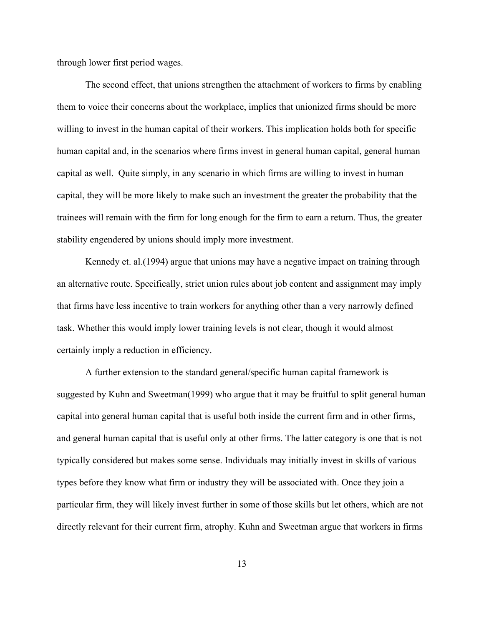through lower first period wages.

The second effect, that unions strengthen the attachment of workers to firms by enabling them to voice their concerns about the workplace, implies that unionized firms should be more willing to invest in the human capital of their workers. This implication holds both for specific human capital and, in the scenarios where firms invest in general human capital, general human capital as well. Quite simply, in any scenario in which firms are willing to invest in human capital, they will be more likely to make such an investment the greater the probability that the trainees will remain with the firm for long enough for the firm to earn a return. Thus, the greater stability engendered by unions should imply more investment.

Kennedy et. al.(1994) argue that unions may have a negative impact on training through an alternative route. Specifically, strict union rules about job content and assignment may imply that firms have less incentive to train workers for anything other than a very narrowly defined task. Whether this would imply lower training levels is not clear, though it would almost certainly imply a reduction in efficiency.

A further extension to the standard general/specific human capital framework is suggested by Kuhn and Sweetman(1999) who argue that it may be fruitful to split general human capital into general human capital that is useful both inside the current firm and in other firms, and general human capital that is useful only at other firms. The latter category is one that is not typically considered but makes some sense. Individuals may initially invest in skills of various types before they know what firm or industry they will be associated with. Once they join a particular firm, they will likely invest further in some of those skills but let others, which are not directly relevant for their current firm, atrophy. Kuhn and Sweetman argue that workers in firms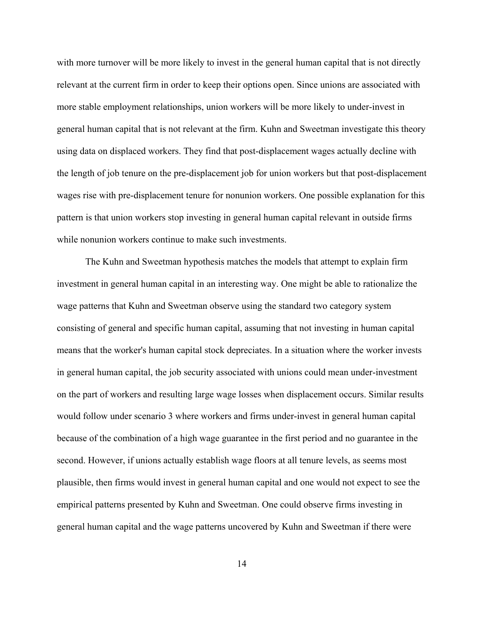with more turnover will be more likely to invest in the general human capital that is not directly relevant at the current firm in order to keep their options open. Since unions are associated with more stable employment relationships, union workers will be more likely to under-invest in general human capital that is not relevant at the firm. Kuhn and Sweetman investigate this theory using data on displaced workers. They find that post-displacement wages actually decline with the length of job tenure on the pre-displacement job for union workers but that post-displacement wages rise with pre-displacement tenure for nonunion workers. One possible explanation for this pattern is that union workers stop investing in general human capital relevant in outside firms while nonunion workers continue to make such investments.

The Kuhn and Sweetman hypothesis matches the models that attempt to explain firm investment in general human capital in an interesting way. One might be able to rationalize the wage patterns that Kuhn and Sweetman observe using the standard two category system consisting of general and specific human capital, assuming that not investing in human capital means that the worker's human capital stock depreciates. In a situation where the worker invests in general human capital, the job security associated with unions could mean under-investment on the part of workers and resulting large wage losses when displacement occurs. Similar results would follow under scenario 3 where workers and firms under-invest in general human capital because of the combination of a high wage guarantee in the first period and no guarantee in the second. However, if unions actually establish wage floors at all tenure levels, as seems most plausible, then firms would invest in general human capital and one would not expect to see the empirical patterns presented by Kuhn and Sweetman. One could observe firms investing in general human capital and the wage patterns uncovered by Kuhn and Sweetman if there were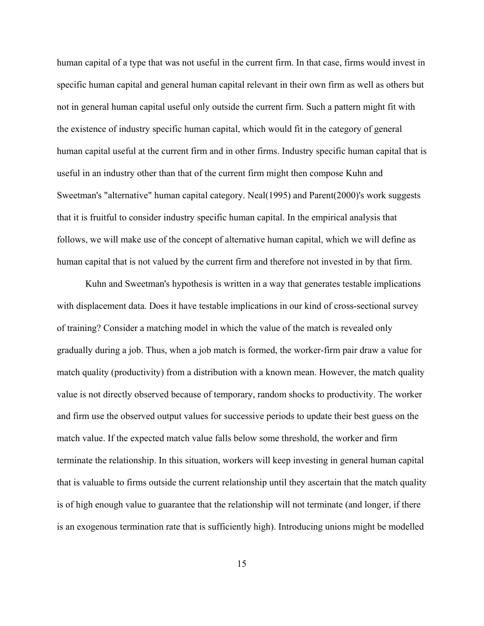human capital of a type that was not useful in the current firm. In that case, firms would invest in specific human capital and general human capital relevant in their own firm as well as others but not in general human capital useful only outside the current firm. Such a pattern might fit with the existence of industry specific human capital, which would fit in the category of general human capital useful at the current firm and in other firms. Industry specific human capital that is useful in an industry other than that of the current firm might then compose Kuhn and Sweetman's "alternative" human capital category. Neal(1995) and Parent(2000)'s work suggests that it is fruitful to consider industry specific human capital. In the empirical analysis that follows, we will make use of the concept of alternative human capital, which we will define as human capital that is not valued by the current firm and therefore not invested in by that firm.

Kuhn and Sweetman's hypothesis is written in a way that generates testable implications with displacement data. Does it have testable implications in our kind of cross-sectional survey of training? Consider a matching model in which the value of the match is revealed only gradually during a job. Thus, when a job match is formed, the worker-firm pair draw a value for match quality (productivity) from a distribution with a known mean. However, the match quality value is not directly observed because of temporary, random shocks to productivity. The worker and firm use the observed output values for successive periods to update their best guess on the match value. If the expected match value falls below some threshold, the worker and firm terminate the relationship. In this situation, workers will keep investing in general human capital that is valuable to firms outside the current relationship until they ascertain that the match quality is of high enough value to guarantee that the relationship will not terminate (and longer, if there is an exogenous termination rate that is sufficiently high). Introducing unions might be modelled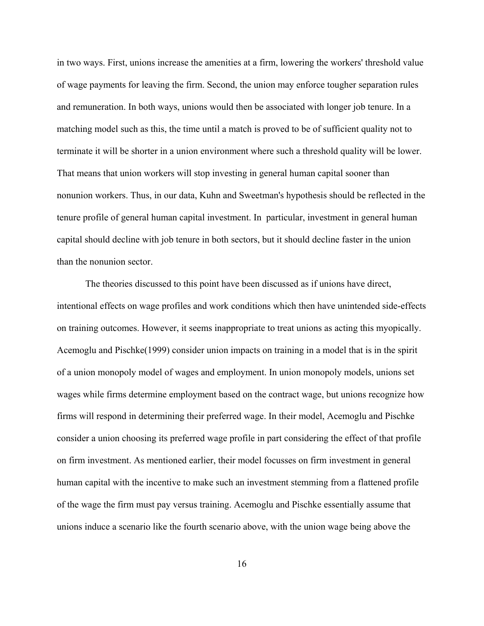in two ways. First, unions increase the amenities at a firm, lowering the workers' threshold value of wage payments for leaving the firm. Second, the union may enforce tougher separation rules and remuneration. In both ways, unions would then be associated with longer job tenure. In a matching model such as this, the time until a match is proved to be of sufficient quality not to terminate it will be shorter in a union environment where such a threshold quality will be lower. That means that union workers will stop investing in general human capital sooner than nonunion workers. Thus, in our data, Kuhn and Sweetman's hypothesis should be reflected in the tenure profile of general human capital investment. In particular, investment in general human capital should decline with job tenure in both sectors, but it should decline faster in the union than the nonunion sector.

The theories discussed to this point have been discussed as if unions have direct, intentional effects on wage profiles and work conditions which then have unintended side-effects on training outcomes. However, it seems inappropriate to treat unions as acting this myopically. Acemoglu and Pischke(1999) consider union impacts on training in a model that is in the spirit of a union monopoly model of wages and employment. In union monopoly models, unions set wages while firms determine employment based on the contract wage, but unions recognize how firms will respond in determining their preferred wage. In their model, Acemoglu and Pischke consider a union choosing its preferred wage profile in part considering the effect of that profile on firm investment. As mentioned earlier, their model focusses on firm investment in general human capital with the incentive to make such an investment stemming from a flattened profile of the wage the firm must pay versus training. Acemoglu and Pischke essentially assume that unions induce a scenario like the fourth scenario above, with the union wage being above the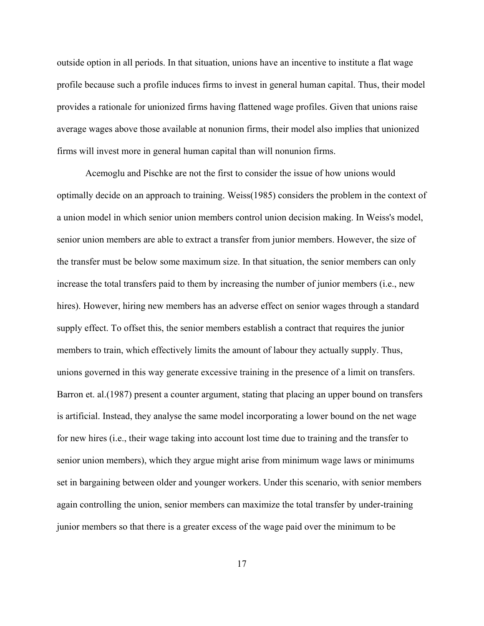outside option in all periods. In that situation, unions have an incentive to institute a flat wage profile because such a profile induces firms to invest in general human capital. Thus, their model provides a rationale for unionized firms having flattened wage profiles. Given that unions raise average wages above those available at nonunion firms, their model also implies that unionized firms will invest more in general human capital than will nonunion firms.

Acemoglu and Pischke are not the first to consider the issue of how unions would optimally decide on an approach to training. Weiss(1985) considers the problem in the context of a union model in which senior union members control union decision making. In Weiss's model, senior union members are able to extract a transfer from junior members. However, the size of the transfer must be below some maximum size. In that situation, the senior members can only increase the total transfers paid to them by increasing the number of junior members (i.e., new hires). However, hiring new members has an adverse effect on senior wages through a standard supply effect. To offset this, the senior members establish a contract that requires the junior members to train, which effectively limits the amount of labour they actually supply. Thus, unions governed in this way generate excessive training in the presence of a limit on transfers. Barron et. al.(1987) present a counter argument, stating that placing an upper bound on transfers is artificial. Instead, they analyse the same model incorporating a lower bound on the net wage for new hires (i.e., their wage taking into account lost time due to training and the transfer to senior union members), which they argue might arise from minimum wage laws or minimums set in bargaining between older and younger workers. Under this scenario, with senior members again controlling the union, senior members can maximize the total transfer by under-training junior members so that there is a greater excess of the wage paid over the minimum to be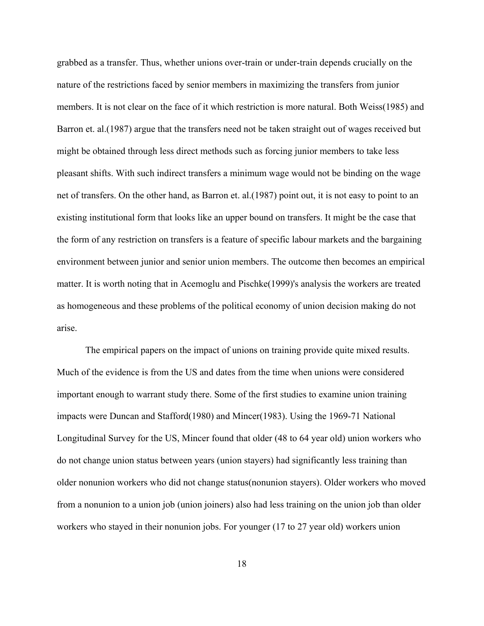grabbed as a transfer. Thus, whether unions over-train or under-train depends crucially on the nature of the restrictions faced by senior members in maximizing the transfers from junior members. It is not clear on the face of it which restriction is more natural. Both Weiss(1985) and Barron et. al.(1987) argue that the transfers need not be taken straight out of wages received but might be obtained through less direct methods such as forcing junior members to take less pleasant shifts. With such indirect transfers a minimum wage would not be binding on the wage net of transfers. On the other hand, as Barron et. al.(1987) point out, it is not easy to point to an existing institutional form that looks like an upper bound on transfers. It might be the case that the form of any restriction on transfers is a feature of specific labour markets and the bargaining environment between junior and senior union members. The outcome then becomes an empirical matter. It is worth noting that in Acemoglu and Pischke(1999)'s analysis the workers are treated as homogeneous and these problems of the political economy of union decision making do not arise.

The empirical papers on the impact of unions on training provide quite mixed results. Much of the evidence is from the US and dates from the time when unions were considered important enough to warrant study there. Some of the first studies to examine union training impacts were Duncan and Stafford(1980) and Mincer(1983). Using the 1969-71 National Longitudinal Survey for the US, Mincer found that older (48 to 64 year old) union workers who do not change union status between years (union stayers) had significantly less training than older nonunion workers who did not change status(nonunion stayers). Older workers who moved from a nonunion to a union job (union joiners) also had less training on the union job than older workers who stayed in their nonunion jobs. For younger (17 to 27 year old) workers union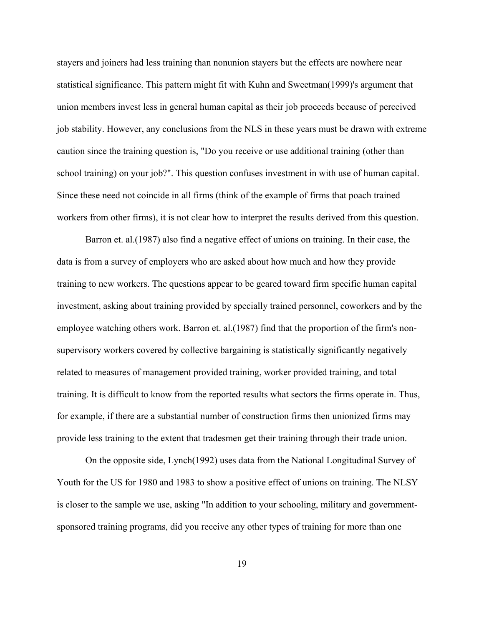stayers and joiners had less training than nonunion stayers but the effects are nowhere near statistical significance. This pattern might fit with Kuhn and Sweetman(1999)'s argument that union members invest less in general human capital as their job proceeds because of perceived job stability. However, any conclusions from the NLS in these years must be drawn with extreme caution since the training question is, "Do you receive or use additional training (other than school training) on your job?". This question confuses investment in with use of human capital. Since these need not coincide in all firms (think of the example of firms that poach trained workers from other firms), it is not clear how to interpret the results derived from this question.

Barron et. al.(1987) also find a negative effect of unions on training. In their case, the data is from a survey of employers who are asked about how much and how they provide training to new workers. The questions appear to be geared toward firm specific human capital investment, asking about training provided by specially trained personnel, coworkers and by the employee watching others work. Barron et. al.(1987) find that the proportion of the firm's nonsupervisory workers covered by collective bargaining is statistically significantly negatively related to measures of management provided training, worker provided training, and total training. It is difficult to know from the reported results what sectors the firms operate in. Thus, for example, if there are a substantial number of construction firms then unionized firms may provide less training to the extent that tradesmen get their training through their trade union.

On the opposite side, Lynch(1992) uses data from the National Longitudinal Survey of Youth for the US for 1980 and 1983 to show a positive effect of unions on training. The NLSY is closer to the sample we use, asking "In addition to your schooling, military and governmentsponsored training programs, did you receive any other types of training for more than one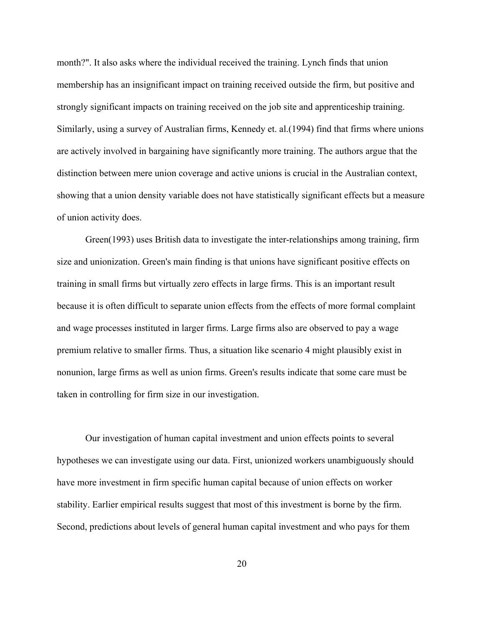month?". It also asks where the individual received the training. Lynch finds that union membership has an insignificant impact on training received outside the firm, but positive and strongly significant impacts on training received on the job site and apprenticeship training. Similarly, using a survey of Australian firms, Kennedy et. al.(1994) find that firms where unions are actively involved in bargaining have significantly more training. The authors argue that the distinction between mere union coverage and active unions is crucial in the Australian context, showing that a union density variable does not have statistically significant effects but a measure of union activity does.

Green(1993) uses British data to investigate the inter-relationships among training, firm size and unionization. Green's main finding is that unions have significant positive effects on training in small firms but virtually zero effects in large firms. This is an important result because it is often difficult to separate union effects from the effects of more formal complaint and wage processes instituted in larger firms. Large firms also are observed to pay a wage premium relative to smaller firms. Thus, a situation like scenario 4 might plausibly exist in nonunion, large firms as well as union firms. Green's results indicate that some care must be taken in controlling for firm size in our investigation.

Our investigation of human capital investment and union effects points to several hypotheses we can investigate using our data. First, unionized workers unambiguously should have more investment in firm specific human capital because of union effects on worker stability. Earlier empirical results suggest that most of this investment is borne by the firm. Second, predictions about levels of general human capital investment and who pays for them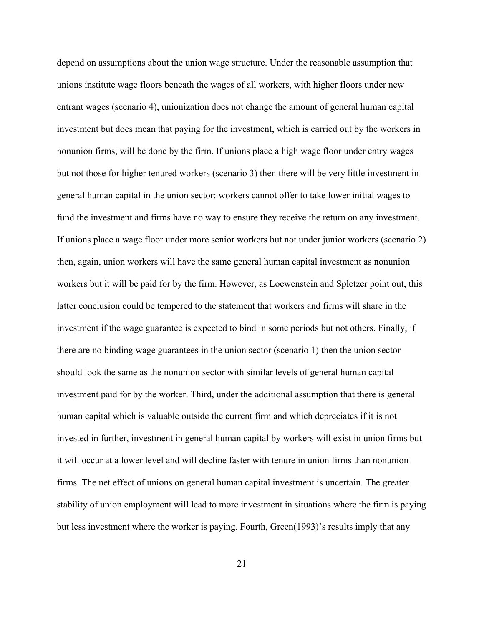depend on assumptions about the union wage structure. Under the reasonable assumption that unions institute wage floors beneath the wages of all workers, with higher floors under new entrant wages (scenario 4), unionization does not change the amount of general human capital investment but does mean that paying for the investment, which is carried out by the workers in nonunion firms, will be done by the firm. If unions place a high wage floor under entry wages but not those for higher tenured workers (scenario 3) then there will be very little investment in general human capital in the union sector: workers cannot offer to take lower initial wages to fund the investment and firms have no way to ensure they receive the return on any investment. If unions place a wage floor under more senior workers but not under junior workers (scenario 2) then, again, union workers will have the same general human capital investment as nonunion workers but it will be paid for by the firm. However, as Loewenstein and Spletzer point out, this latter conclusion could be tempered to the statement that workers and firms will share in the investment if the wage guarantee is expected to bind in some periods but not others. Finally, if there are no binding wage guarantees in the union sector (scenario 1) then the union sector should look the same as the nonunion sector with similar levels of general human capital investment paid for by the worker. Third, under the additional assumption that there is general human capital which is valuable outside the current firm and which depreciates if it is not invested in further, investment in general human capital by workers will exist in union firms but it will occur at a lower level and will decline faster with tenure in union firms than nonunion firms. The net effect of unions on general human capital investment is uncertain. The greater stability of union employment will lead to more investment in situations where the firm is paying but less investment where the worker is paying. Fourth, Green(1993)'s results imply that any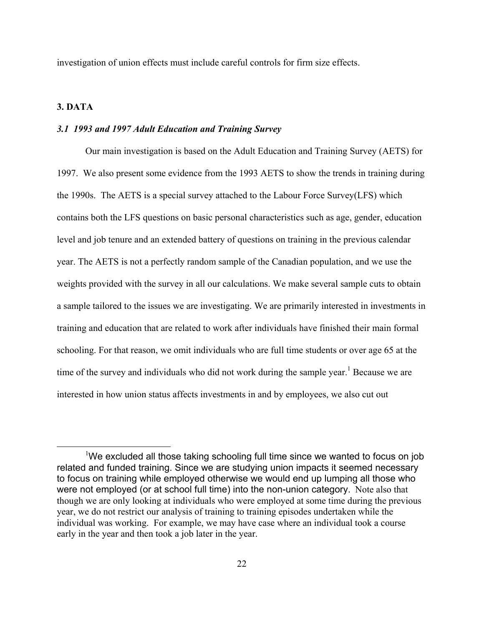investigation of union effects must include careful controls for firm size effects.

# **3. DATA**

### *3.1 1993 and 1997 Adult Education and Training Survey*

Our main investigation is based on the Adult Education and Training Survey (AETS) for 1997. We also present some evidence from the 1993 AETS to show the trends in training during the 1990s. The AETS is a special survey attached to the Labour Force Survey(LFS) which contains both the LFS questions on basic personal characteristics such as age, gender, education level and job tenure and an extended battery of questions on training in the previous calendar year. The AETS is not a perfectly random sample of the Canadian population, and we use the weights provided with the survey in all our calculations. We make several sample cuts to obtain a sample tailored to the issues we are investigating. We are primarily interested in investments in training and education that are related to work after individuals have finished their main formal schooling. For that reason, we omit individuals who are full time students or over age 65 at the time of the survey and individuals who did not work during the sample year.<sup>1</sup> Because we are interested in how union status affects investments in and by employees, we also cut out

<sup>&</sup>lt;u>1</u> <sup>1</sup>We excluded all those taking schooling full time since we wanted to focus on job related and funded training. Since we are studying union impacts it seemed necessary to focus on training while employed otherwise we would end up lumping all those who were not employed (or at school full time) into the non-union category. Note also that though we are only looking at individuals who were employed at some time during the previous year, we do not restrict our analysis of training to training episodes undertaken while the individual was working. For example, we may have case where an individual took a course early in the year and then took a job later in the year.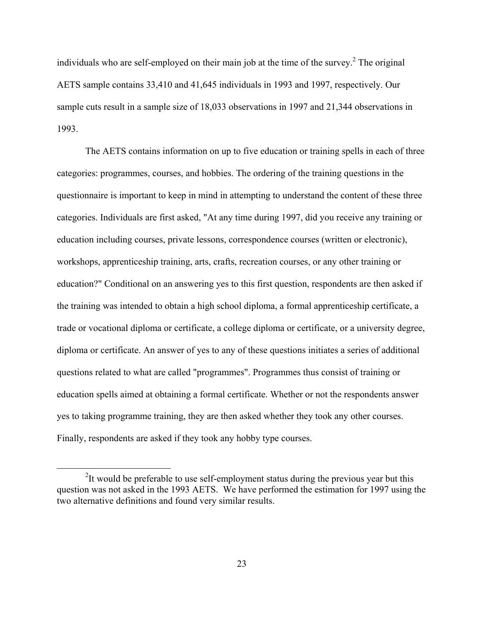individuals who are self-employed on their main job at the time of the survey.<sup>2</sup> The original AETS sample contains 33,410 and 41,645 individuals in 1993 and 1997, respectively. Our sample cuts result in a sample size of 18,033 observations in 1997 and 21,344 observations in 1993.

The AETS contains information on up to five education or training spells in each of three categories: programmes, courses, and hobbies. The ordering of the training questions in the questionnaire is important to keep in mind in attempting to understand the content of these three categories. Individuals are first asked, "At any time during 1997, did you receive any training or education including courses, private lessons, correspondence courses (written or electronic), workshops, apprenticeship training, arts, crafts, recreation courses, or any other training or education?" Conditional on an answering yes to this first question, respondents are then asked if the training was intended to obtain a high school diploma, a formal apprenticeship certificate, a trade or vocational diploma or certificate, a college diploma or certificate, or a university degree, diploma or certificate. An answer of yes to any of these questions initiates a series of additional questions related to what are called "programmes". Programmes thus consist of training or education spells aimed at obtaining a formal certificate. Whether or not the respondents answer yes to taking programme training, they are then asked whether they took any other courses. Finally, respondents are asked if they took any hobby type courses.

 <sup>2</sup>  $2$ It would be preferable to use self-employment status during the previous year but this question was not asked in the 1993 AETS. We have performed the estimation for 1997 using the two alternative definitions and found very similar results.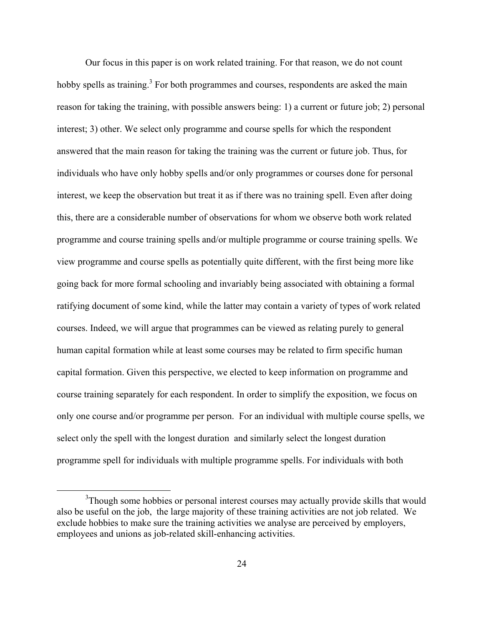Our focus in this paper is on work related training. For that reason, we do not count hobby spells as training.<sup>3</sup> For both programmes and courses, respondents are asked the main reason for taking the training, with possible answers being: 1) a current or future job; 2) personal interest; 3) other. We select only programme and course spells for which the respondent answered that the main reason for taking the training was the current or future job. Thus, for individuals who have only hobby spells and/or only programmes or courses done for personal interest, we keep the observation but treat it as if there was no training spell. Even after doing this, there are a considerable number of observations for whom we observe both work related programme and course training spells and/or multiple programme or course training spells. We view programme and course spells as potentially quite different, with the first being more like going back for more formal schooling and invariably being associated with obtaining a formal ratifying document of some kind, while the latter may contain a variety of types of work related courses. Indeed, we will argue that programmes can be viewed as relating purely to general human capital formation while at least some courses may be related to firm specific human capital formation. Given this perspective, we elected to keep information on programme and course training separately for each respondent. In order to simplify the exposition, we focus on only one course and/or programme per person. For an individual with multiple course spells, we select only the spell with the longest duration and similarly select the longest duration programme spell for individuals with multiple programme spells. For individuals with both

 $\frac{1}{3}$  $3$ Though some hobbies or personal interest courses may actually provide skills that would also be useful on the job, the large majority of these training activities are not job related. We exclude hobbies to make sure the training activities we analyse are perceived by employers, employees and unions as job-related skill-enhancing activities.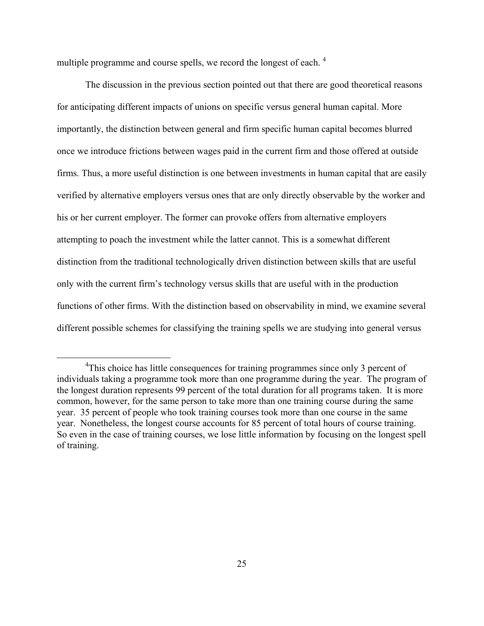multiple programme and course spells, we record the longest of each.<sup>4</sup>

The discussion in the previous section pointed out that there are good theoretical reasons for anticipating different impacts of unions on specific versus general human capital. More importantly, the distinction between general and firm specific human capital becomes blurred once we introduce frictions between wages paid in the current firm and those offered at outside firms. Thus, a more useful distinction is one between investments in human capital that are easily verified by alternative employers versus ones that are only directly observable by the worker and his or her current employer. The former can provoke offers from alternative employers attempting to poach the investment while the latter cannot. This is a somewhat different distinction from the traditional technologically driven distinction between skills that are useful only with the current firmís technology versus skills that are useful with in the production functions of other firms. With the distinction based on observability in mind, we examine several different possible schemes for classifying the training spells we are studying into general versus

 $\overline{4}$ <sup>4</sup>This choice has little consequences for training programmes since only 3 percent of individuals taking a programme took more than one programme during the year. The program of the longest duration represents 99 percent of the total duration for all programs taken. It is more common, however, for the same person to take more than one training course during the same year. 35 percent of people who took training courses took more than one course in the same year. Nonetheless, the longest course accounts for 85 percent of total hours of course training. So even in the case of training courses, we lose little information by focusing on the longest spell of training.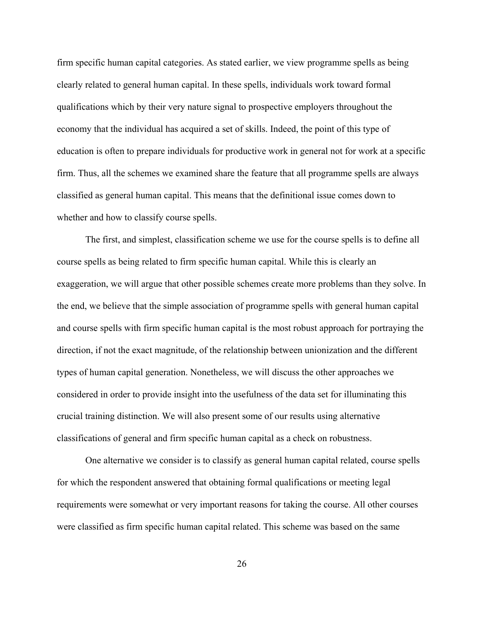firm specific human capital categories. As stated earlier, we view programme spells as being clearly related to general human capital. In these spells, individuals work toward formal qualifications which by their very nature signal to prospective employers throughout the economy that the individual has acquired a set of skills. Indeed, the point of this type of education is often to prepare individuals for productive work in general not for work at a specific firm. Thus, all the schemes we examined share the feature that all programme spells are always classified as general human capital. This means that the definitional issue comes down to whether and how to classify course spells.

The first, and simplest, classification scheme we use for the course spells is to define all course spells as being related to firm specific human capital. While this is clearly an exaggeration, we will argue that other possible schemes create more problems than they solve. In the end, we believe that the simple association of programme spells with general human capital and course spells with firm specific human capital is the most robust approach for portraying the direction, if not the exact magnitude, of the relationship between unionization and the different types of human capital generation. Nonetheless, we will discuss the other approaches we considered in order to provide insight into the usefulness of the data set for illuminating this crucial training distinction. We will also present some of our results using alternative classifications of general and firm specific human capital as a check on robustness.

One alternative we consider is to classify as general human capital related, course spells for which the respondent answered that obtaining formal qualifications or meeting legal requirements were somewhat or very important reasons for taking the course. All other courses were classified as firm specific human capital related. This scheme was based on the same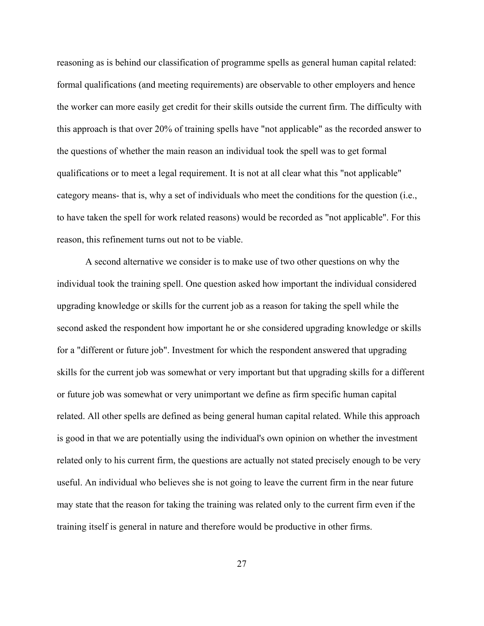reasoning as is behind our classification of programme spells as general human capital related: formal qualifications (and meeting requirements) are observable to other employers and hence the worker can more easily get credit for their skills outside the current firm. The difficulty with this approach is that over 20% of training spells have "not applicable" as the recorded answer to the questions of whether the main reason an individual took the spell was to get formal qualifications or to meet a legal requirement. It is not at all clear what this "not applicable" category means- that is, why a set of individuals who meet the conditions for the question (i.e., to have taken the spell for work related reasons) would be recorded as "not applicable". For this reason, this refinement turns out not to be viable.

A second alternative we consider is to make use of two other questions on why the individual took the training spell. One question asked how important the individual considered upgrading knowledge or skills for the current job as a reason for taking the spell while the second asked the respondent how important he or she considered upgrading knowledge or skills for a "different or future job". Investment for which the respondent answered that upgrading skills for the current job was somewhat or very important but that upgrading skills for a different or future job was somewhat or very unimportant we define as firm specific human capital related. All other spells are defined as being general human capital related. While this approach is good in that we are potentially using the individual's own opinion on whether the investment related only to his current firm, the questions are actually not stated precisely enough to be very useful. An individual who believes she is not going to leave the current firm in the near future may state that the reason for taking the training was related only to the current firm even if the training itself is general in nature and therefore would be productive in other firms.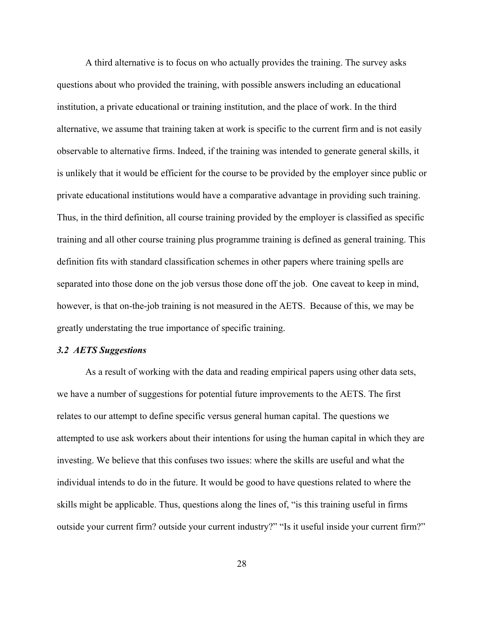A third alternative is to focus on who actually provides the training. The survey asks questions about who provided the training, with possible answers including an educational institution, a private educational or training institution, and the place of work. In the third alternative, we assume that training taken at work is specific to the current firm and is not easily observable to alternative firms. Indeed, if the training was intended to generate general skills, it is unlikely that it would be efficient for the course to be provided by the employer since public or private educational institutions would have a comparative advantage in providing such training. Thus, in the third definition, all course training provided by the employer is classified as specific training and all other course training plus programme training is defined as general training. This definition fits with standard classification schemes in other papers where training spells are separated into those done on the job versus those done off the job. One caveat to keep in mind, however, is that on-the-job training is not measured in the AETS. Because of this, we may be greatly understating the true importance of specific training.

## *3.2 AETS Suggestions*

As a result of working with the data and reading empirical papers using other data sets, we have a number of suggestions for potential future improvements to the AETS. The first relates to our attempt to define specific versus general human capital. The questions we attempted to use ask workers about their intentions for using the human capital in which they are investing. We believe that this confuses two issues: where the skills are useful and what the individual intends to do in the future. It would be good to have questions related to where the skills might be applicable. Thus, questions along the lines of, "is this training useful in firms outside your current firm? outside your current industry?" "Is it useful inside your current firm?"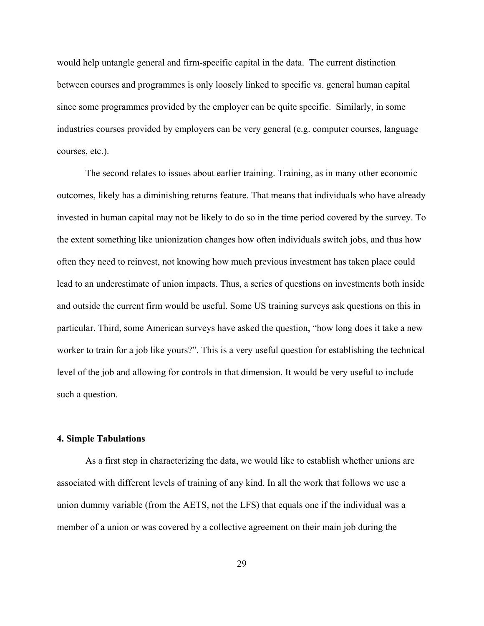would help untangle general and firm-specific capital in the data. The current distinction between courses and programmes is only loosely linked to specific vs. general human capital since some programmes provided by the employer can be quite specific. Similarly, in some industries courses provided by employers can be very general (e.g. computer courses, language courses, etc.).

The second relates to issues about earlier training. Training, as in many other economic outcomes, likely has a diminishing returns feature. That means that individuals who have already invested in human capital may not be likely to do so in the time period covered by the survey. To the extent something like unionization changes how often individuals switch jobs, and thus how often they need to reinvest, not knowing how much previous investment has taken place could lead to an underestimate of union impacts. Thus, a series of questions on investments both inside and outside the current firm would be useful. Some US training surveys ask questions on this in particular. Third, some American surveys have asked the question, "how long does it take a new worker to train for a job like yours?". This is a very useful question for establishing the technical level of the job and allowing for controls in that dimension. It would be very useful to include such a question.

## **4. Simple Tabulations**

As a first step in characterizing the data, we would like to establish whether unions are associated with different levels of training of any kind. In all the work that follows we use a union dummy variable (from the AETS, not the LFS) that equals one if the individual was a member of a union or was covered by a collective agreement on their main job during the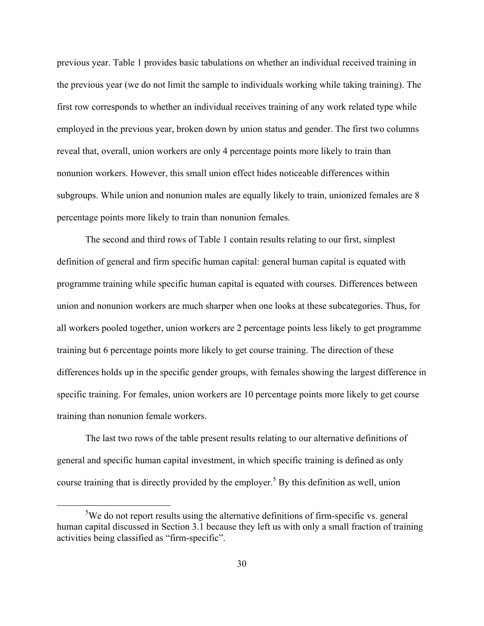previous year. Table 1 provides basic tabulations on whether an individual received training in the previous year (we do not limit the sample to individuals working while taking training). The first row corresponds to whether an individual receives training of any work related type while employed in the previous year, broken down by union status and gender. The first two columns reveal that, overall, union workers are only 4 percentage points more likely to train than nonunion workers. However, this small union effect hides noticeable differences within subgroups. While union and nonunion males are equally likely to train, unionized females are 8 percentage points more likely to train than nonunion females.

The second and third rows of Table 1 contain results relating to our first, simplest definition of general and firm specific human capital: general human capital is equated with programme training while specific human capital is equated with courses. Differences between union and nonunion workers are much sharper when one looks at these subcategories. Thus, for all workers pooled together, union workers are 2 percentage points less likely to get programme training but 6 percentage points more likely to get course training. The direction of these differences holds up in the specific gender groups, with females showing the largest difference in specific training. For females, union workers are 10 percentage points more likely to get course training than nonunion female workers.

The last two rows of the table present results relating to our alternative definitions of general and specific human capital investment, in which specific training is defined as only course training that is directly provided by the employer.<sup>5</sup> By this definition as well, union

 $rac{1}{5}$  $5$ We do not report results using the alternative definitions of firm-specific vs. general human capital discussed in Section 3.1 because they left us with only a small fraction of training activities being classified as "firm-specific".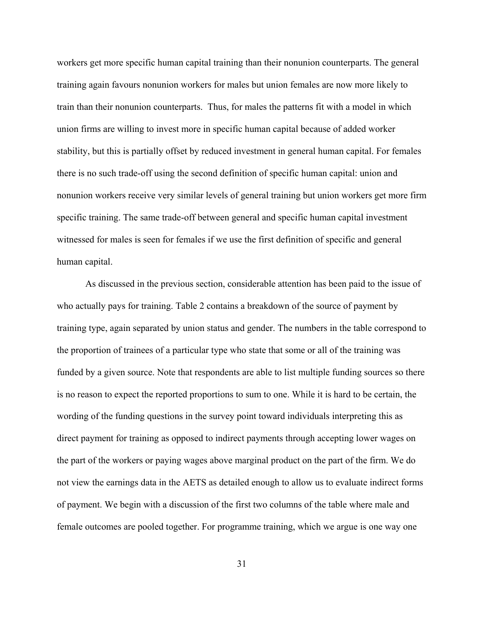workers get more specific human capital training than their nonunion counterparts. The general training again favours nonunion workers for males but union females are now more likely to train than their nonunion counterparts. Thus, for males the patterns fit with a model in which union firms are willing to invest more in specific human capital because of added worker stability, but this is partially offset by reduced investment in general human capital. For females there is no such trade-off using the second definition of specific human capital: union and nonunion workers receive very similar levels of general training but union workers get more firm specific training. The same trade-off between general and specific human capital investment witnessed for males is seen for females if we use the first definition of specific and general human capital.

As discussed in the previous section, considerable attention has been paid to the issue of who actually pays for training. Table 2 contains a breakdown of the source of payment by training type, again separated by union status and gender. The numbers in the table correspond to the proportion of trainees of a particular type who state that some or all of the training was funded by a given source. Note that respondents are able to list multiple funding sources so there is no reason to expect the reported proportions to sum to one. While it is hard to be certain, the wording of the funding questions in the survey point toward individuals interpreting this as direct payment for training as opposed to indirect payments through accepting lower wages on the part of the workers or paying wages above marginal product on the part of the firm. We do not view the earnings data in the AETS as detailed enough to allow us to evaluate indirect forms of payment. We begin with a discussion of the first two columns of the table where male and female outcomes are pooled together. For programme training, which we argue is one way one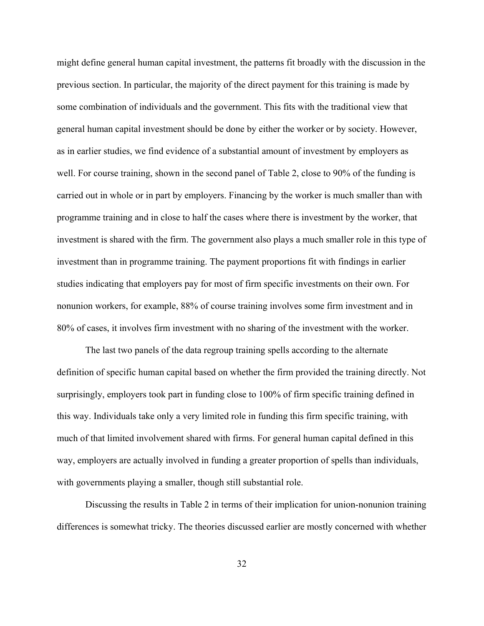might define general human capital investment, the patterns fit broadly with the discussion in the previous section. In particular, the majority of the direct payment for this training is made by some combination of individuals and the government. This fits with the traditional view that general human capital investment should be done by either the worker or by society. However, as in earlier studies, we find evidence of a substantial amount of investment by employers as well. For course training, shown in the second panel of Table 2, close to 90% of the funding is carried out in whole or in part by employers. Financing by the worker is much smaller than with programme training and in close to half the cases where there is investment by the worker, that investment is shared with the firm. The government also plays a much smaller role in this type of investment than in programme training. The payment proportions fit with findings in earlier studies indicating that employers pay for most of firm specific investments on their own. For nonunion workers, for example, 88% of course training involves some firm investment and in 80% of cases, it involves firm investment with no sharing of the investment with the worker.

The last two panels of the data regroup training spells according to the alternate definition of specific human capital based on whether the firm provided the training directly. Not surprisingly, employers took part in funding close to 100% of firm specific training defined in this way. Individuals take only a very limited role in funding this firm specific training, with much of that limited involvement shared with firms. For general human capital defined in this way, employers are actually involved in funding a greater proportion of spells than individuals, with governments playing a smaller, though still substantial role.

Discussing the results in Table 2 in terms of their implication for union-nonunion training differences is somewhat tricky. The theories discussed earlier are mostly concerned with whether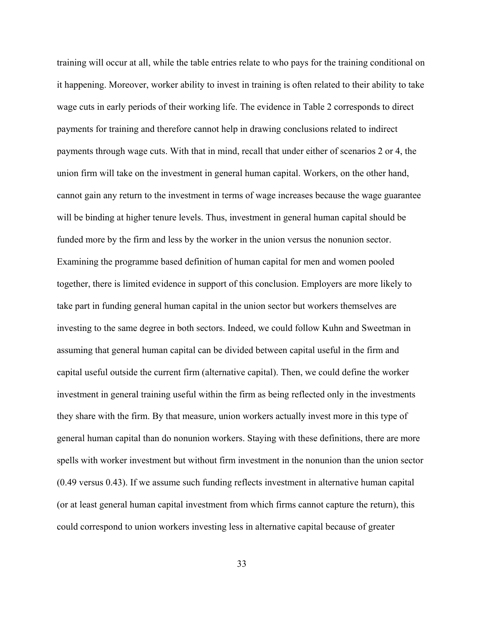training will occur at all, while the table entries relate to who pays for the training conditional on it happening. Moreover, worker ability to invest in training is often related to their ability to take wage cuts in early periods of their working life. The evidence in Table 2 corresponds to direct payments for training and therefore cannot help in drawing conclusions related to indirect payments through wage cuts. With that in mind, recall that under either of scenarios 2 or 4, the union firm will take on the investment in general human capital. Workers, on the other hand, cannot gain any return to the investment in terms of wage increases because the wage guarantee will be binding at higher tenure levels. Thus, investment in general human capital should be funded more by the firm and less by the worker in the union versus the nonunion sector. Examining the programme based definition of human capital for men and women pooled together, there is limited evidence in support of this conclusion. Employers are more likely to take part in funding general human capital in the union sector but workers themselves are investing to the same degree in both sectors. Indeed, we could follow Kuhn and Sweetman in assuming that general human capital can be divided between capital useful in the firm and capital useful outside the current firm (alternative capital). Then, we could define the worker investment in general training useful within the firm as being reflected only in the investments they share with the firm. By that measure, union workers actually invest more in this type of general human capital than do nonunion workers. Staying with these definitions, there are more spells with worker investment but without firm investment in the nonunion than the union sector (0.49 versus 0.43). If we assume such funding reflects investment in alternative human capital (or at least general human capital investment from which firms cannot capture the return), this could correspond to union workers investing less in alternative capital because of greater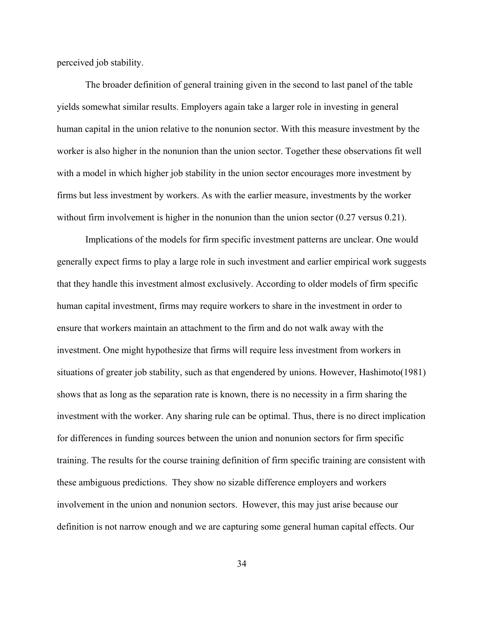perceived job stability.

The broader definition of general training given in the second to last panel of the table yields somewhat similar results. Employers again take a larger role in investing in general human capital in the union relative to the nonunion sector. With this measure investment by the worker is also higher in the nonunion than the union sector. Together these observations fit well with a model in which higher job stability in the union sector encourages more investment by firms but less investment by workers. As with the earlier measure, investments by the worker without firm involvement is higher in the nonunion than the union sector  $(0.27 \text{ versus } 0.21)$ .

Implications of the models for firm specific investment patterns are unclear. One would generally expect firms to play a large role in such investment and earlier empirical work suggests that they handle this investment almost exclusively. According to older models of firm specific human capital investment, firms may require workers to share in the investment in order to ensure that workers maintain an attachment to the firm and do not walk away with the investment. One might hypothesize that firms will require less investment from workers in situations of greater job stability, such as that engendered by unions. However, Hashimoto(1981) shows that as long as the separation rate is known, there is no necessity in a firm sharing the investment with the worker. Any sharing rule can be optimal. Thus, there is no direct implication for differences in funding sources between the union and nonunion sectors for firm specific training. The results for the course training definition of firm specific training are consistent with these ambiguous predictions. They show no sizable difference employers and workers involvement in the union and nonunion sectors. However, this may just arise because our definition is not narrow enough and we are capturing some general human capital effects. Our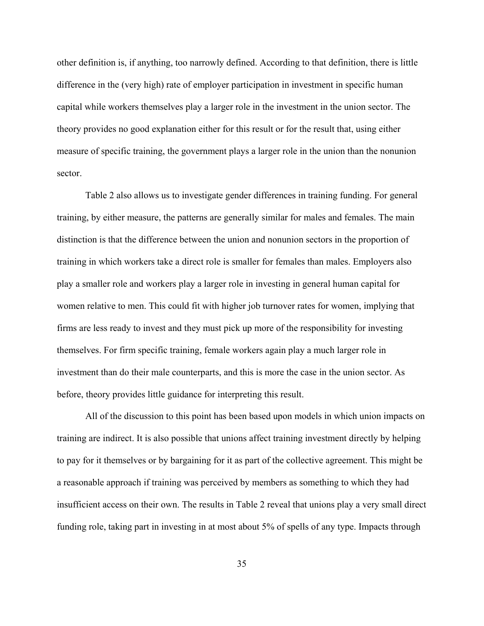other definition is, if anything, too narrowly defined. According to that definition, there is little difference in the (very high) rate of employer participation in investment in specific human capital while workers themselves play a larger role in the investment in the union sector. The theory provides no good explanation either for this result or for the result that, using either measure of specific training, the government plays a larger role in the union than the nonunion sector.

Table 2 also allows us to investigate gender differences in training funding. For general training, by either measure, the patterns are generally similar for males and females. The main distinction is that the difference between the union and nonunion sectors in the proportion of training in which workers take a direct role is smaller for females than males. Employers also play a smaller role and workers play a larger role in investing in general human capital for women relative to men. This could fit with higher job turnover rates for women, implying that firms are less ready to invest and they must pick up more of the responsibility for investing themselves. For firm specific training, female workers again play a much larger role in investment than do their male counterparts, and this is more the case in the union sector. As before, theory provides little guidance for interpreting this result.

All of the discussion to this point has been based upon models in which union impacts on training are indirect. It is also possible that unions affect training investment directly by helping to pay for it themselves or by bargaining for it as part of the collective agreement. This might be a reasonable approach if training was perceived by members as something to which they had insufficient access on their own. The results in Table 2 reveal that unions play a very small direct funding role, taking part in investing in at most about 5% of spells of any type. Impacts through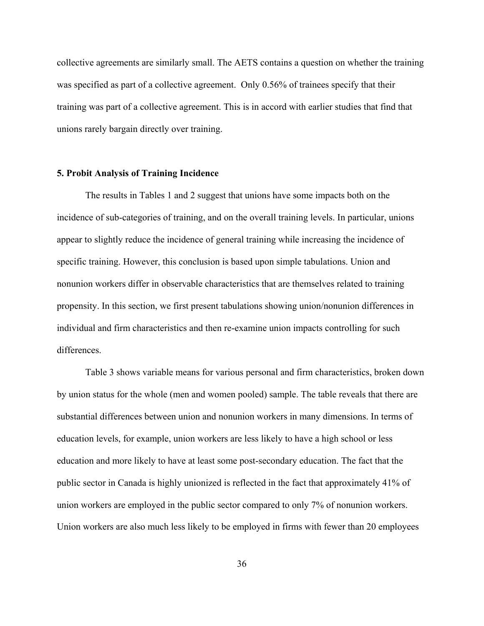collective agreements are similarly small. The AETS contains a question on whether the training was specified as part of a collective agreement. Only 0.56% of trainees specify that their training was part of a collective agreement. This is in accord with earlier studies that find that unions rarely bargain directly over training.

# **5. Probit Analysis of Training Incidence**

The results in Tables 1 and 2 suggest that unions have some impacts both on the incidence of sub-categories of training, and on the overall training levels. In particular, unions appear to slightly reduce the incidence of general training while increasing the incidence of specific training. However, this conclusion is based upon simple tabulations. Union and nonunion workers differ in observable characteristics that are themselves related to training propensity. In this section, we first present tabulations showing union/nonunion differences in individual and firm characteristics and then re-examine union impacts controlling for such differences.

Table 3 shows variable means for various personal and firm characteristics, broken down by union status for the whole (men and women pooled) sample. The table reveals that there are substantial differences between union and nonunion workers in many dimensions. In terms of education levels, for example, union workers are less likely to have a high school or less education and more likely to have at least some post-secondary education. The fact that the public sector in Canada is highly unionized is reflected in the fact that approximately 41% of union workers are employed in the public sector compared to only 7% of nonunion workers. Union workers are also much less likely to be employed in firms with fewer than 20 employees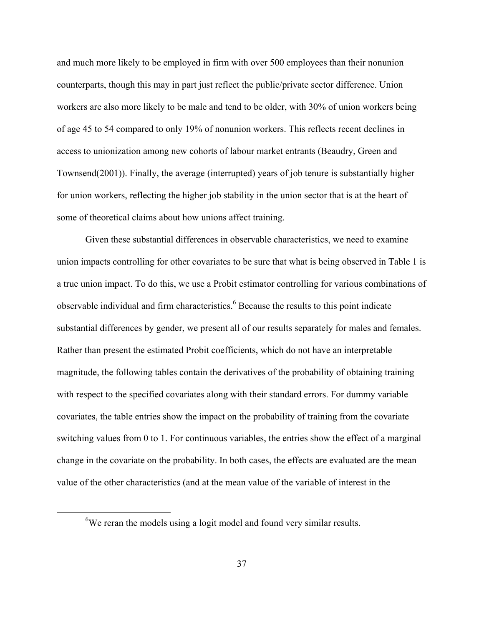and much more likely to be employed in firm with over 500 employees than their nonunion counterparts, though this may in part just reflect the public/private sector difference. Union workers are also more likely to be male and tend to be older, with 30% of union workers being of age 45 to 54 compared to only 19% of nonunion workers. This reflects recent declines in access to unionization among new cohorts of labour market entrants (Beaudry, Green and Townsend(2001)). Finally, the average (interrupted) years of job tenure is substantially higher for union workers, reflecting the higher job stability in the union sector that is at the heart of some of theoretical claims about how unions affect training.

Given these substantial differences in observable characteristics, we need to examine union impacts controlling for other covariates to be sure that what is being observed in Table 1 is a true union impact. To do this, we use a Probit estimator controlling for various combinations of observable individual and firm characteristics.<sup>6</sup> Because the results to this point indicate substantial differences by gender, we present all of our results separately for males and females. Rather than present the estimated Probit coefficients, which do not have an interpretable magnitude, the following tables contain the derivatives of the probability of obtaining training with respect to the specified covariates along with their standard errors. For dummy variable covariates, the table entries show the impact on the probability of training from the covariate switching values from 0 to 1. For continuous variables, the entries show the effect of a marginal change in the covariate on the probability. In both cases, the effects are evaluated are the mean value of the other characteristics (and at the mean value of the variable of interest in the

 <sup>6</sup> <sup>6</sup>We reran the models using a logit model and found very similar results.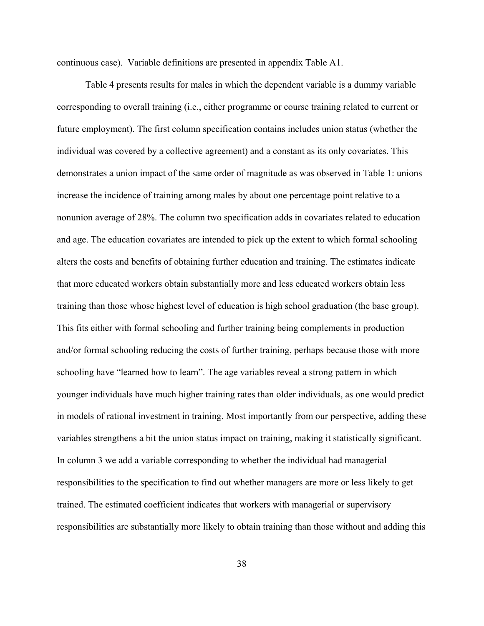continuous case). Variable definitions are presented in appendix Table A1.

Table 4 presents results for males in which the dependent variable is a dummy variable corresponding to overall training (i.e., either programme or course training related to current or future employment). The first column specification contains includes union status (whether the individual was covered by a collective agreement) and a constant as its only covariates. This demonstrates a union impact of the same order of magnitude as was observed in Table 1: unions increase the incidence of training among males by about one percentage point relative to a nonunion average of 28%. The column two specification adds in covariates related to education and age. The education covariates are intended to pick up the extent to which formal schooling alters the costs and benefits of obtaining further education and training. The estimates indicate that more educated workers obtain substantially more and less educated workers obtain less training than those whose highest level of education is high school graduation (the base group). This fits either with formal schooling and further training being complements in production and/or formal schooling reducing the costs of further training, perhaps because those with more schooling have "learned how to learn". The age variables reveal a strong pattern in which younger individuals have much higher training rates than older individuals, as one would predict in models of rational investment in training. Most importantly from our perspective, adding these variables strengthens a bit the union status impact on training, making it statistically significant. In column 3 we add a variable corresponding to whether the individual had managerial responsibilities to the specification to find out whether managers are more or less likely to get trained. The estimated coefficient indicates that workers with managerial or supervisory responsibilities are substantially more likely to obtain training than those without and adding this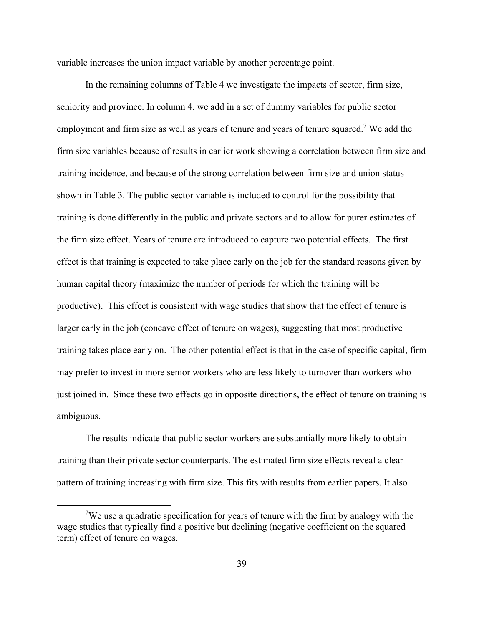variable increases the union impact variable by another percentage point.

In the remaining columns of Table 4 we investigate the impacts of sector, firm size, seniority and province. In column 4, we add in a set of dummy variables for public sector employment and firm size as well as years of tenure and years of tenure squared.<sup>7</sup> We add the firm size variables because of results in earlier work showing a correlation between firm size and training incidence, and because of the strong correlation between firm size and union status shown in Table 3. The public sector variable is included to control for the possibility that training is done differently in the public and private sectors and to allow for purer estimates of the firm size effect. Years of tenure are introduced to capture two potential effects. The first effect is that training is expected to take place early on the job for the standard reasons given by human capital theory (maximize the number of periods for which the training will be productive). This effect is consistent with wage studies that show that the effect of tenure is larger early in the job (concave effect of tenure on wages), suggesting that most productive training takes place early on. The other potential effect is that in the case of specific capital, firm may prefer to invest in more senior workers who are less likely to turnover than workers who just joined in. Since these two effects go in opposite directions, the effect of tenure on training is ambiguous.

The results indicate that public sector workers are substantially more likely to obtain training than their private sector counterparts. The estimated firm size effects reveal a clear pattern of training increasing with firm size. This fits with results from earlier papers. It also

 <sup>7</sup> <sup>7</sup>We use a quadratic specification for years of tenure with the firm by analogy with the wage studies that typically find a positive but declining (negative coefficient on the squared term) effect of tenure on wages.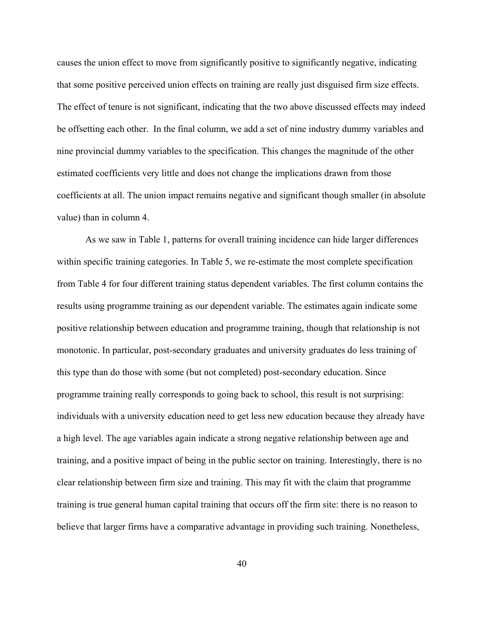causes the union effect to move from significantly positive to significantly negative, indicating that some positive perceived union effects on training are really just disguised firm size effects. The effect of tenure is not significant, indicating that the two above discussed effects may indeed be offsetting each other. In the final column, we add a set of nine industry dummy variables and nine provincial dummy variables to the specification. This changes the magnitude of the other estimated coefficients very little and does not change the implications drawn from those coefficients at all. The union impact remains negative and significant though smaller (in absolute value) than in column 4.

As we saw in Table 1, patterns for overall training incidence can hide larger differences within specific training categories. In Table 5, we re-estimate the most complete specification from Table 4 for four different training status dependent variables. The first column contains the results using programme training as our dependent variable. The estimates again indicate some positive relationship between education and programme training, though that relationship is not monotonic. In particular, post-secondary graduates and university graduates do less training of this type than do those with some (but not completed) post-secondary education. Since programme training really corresponds to going back to school, this result is not surprising: individuals with a university education need to get less new education because they already have a high level. The age variables again indicate a strong negative relationship between age and training, and a positive impact of being in the public sector on training. Interestingly, there is no clear relationship between firm size and training. This may fit with the claim that programme training is true general human capital training that occurs off the firm site: there is no reason to believe that larger firms have a comparative advantage in providing such training. Nonetheless,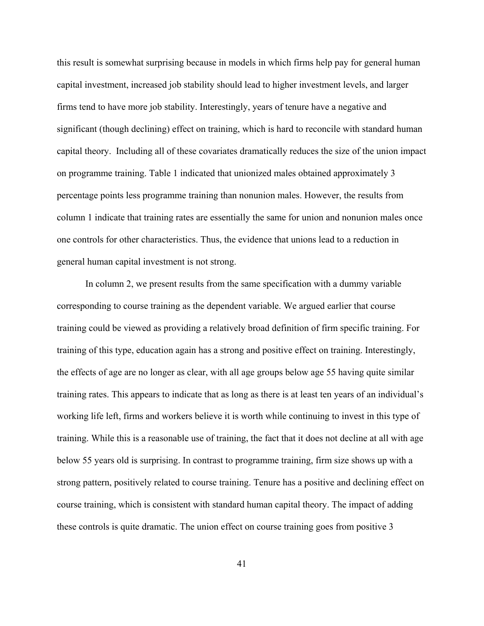this result is somewhat surprising because in models in which firms help pay for general human capital investment, increased job stability should lead to higher investment levels, and larger firms tend to have more job stability. Interestingly, years of tenure have a negative and significant (though declining) effect on training, which is hard to reconcile with standard human capital theory. Including all of these covariates dramatically reduces the size of the union impact on programme training. Table 1 indicated that unionized males obtained approximately 3 percentage points less programme training than nonunion males. However, the results from column 1 indicate that training rates are essentially the same for union and nonunion males once one controls for other characteristics. Thus, the evidence that unions lead to a reduction in general human capital investment is not strong.

In column 2, we present results from the same specification with a dummy variable corresponding to course training as the dependent variable. We argued earlier that course training could be viewed as providing a relatively broad definition of firm specific training. For training of this type, education again has a strong and positive effect on training. Interestingly, the effects of age are no longer as clear, with all age groups below age 55 having quite similar training rates. This appears to indicate that as long as there is at least ten years of an individualís working life left, firms and workers believe it is worth while continuing to invest in this type of training. While this is a reasonable use of training, the fact that it does not decline at all with age below 55 years old is surprising. In contrast to programme training, firm size shows up with a strong pattern, positively related to course training. Tenure has a positive and declining effect on course training, which is consistent with standard human capital theory. The impact of adding these controls is quite dramatic. The union effect on course training goes from positive 3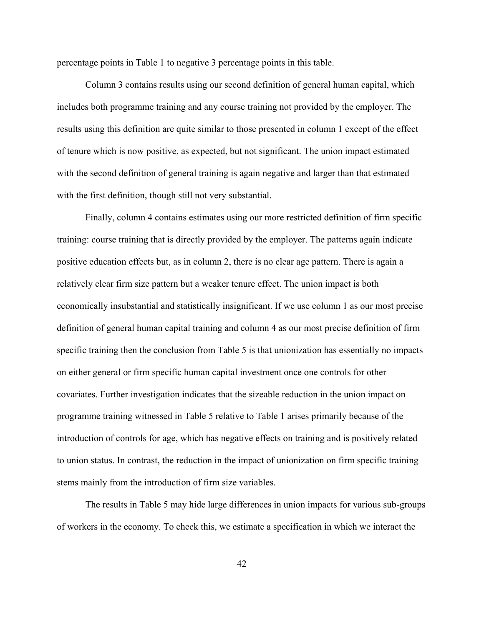percentage points in Table 1 to negative 3 percentage points in this table.

Column 3 contains results using our second definition of general human capital, which includes both programme training and any course training not provided by the employer. The results using this definition are quite similar to those presented in column 1 except of the effect of tenure which is now positive, as expected, but not significant. The union impact estimated with the second definition of general training is again negative and larger than that estimated with the first definition, though still not very substantial.

Finally, column 4 contains estimates using our more restricted definition of firm specific training: course training that is directly provided by the employer. The patterns again indicate positive education effects but, as in column 2, there is no clear age pattern. There is again a relatively clear firm size pattern but a weaker tenure effect. The union impact is both economically insubstantial and statistically insignificant. If we use column 1 as our most precise definition of general human capital training and column 4 as our most precise definition of firm specific training then the conclusion from Table 5 is that unionization has essentially no impacts on either general or firm specific human capital investment once one controls for other covariates. Further investigation indicates that the sizeable reduction in the union impact on programme training witnessed in Table 5 relative to Table 1 arises primarily because of the introduction of controls for age, which has negative effects on training and is positively related to union status. In contrast, the reduction in the impact of unionization on firm specific training stems mainly from the introduction of firm size variables.

The results in Table 5 may hide large differences in union impacts for various sub-groups of workers in the economy. To check this, we estimate a specification in which we interact the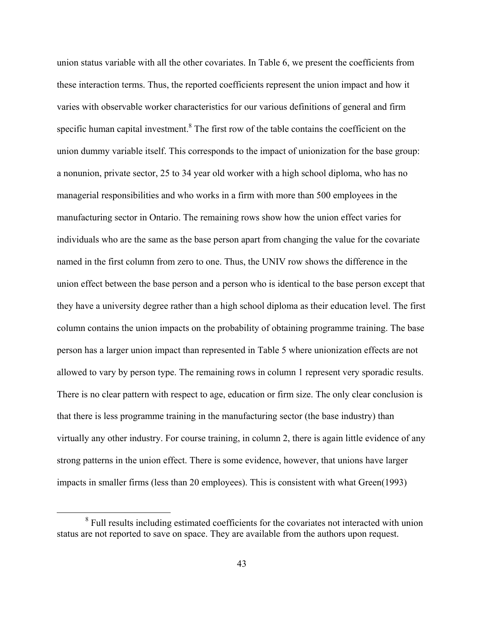union status variable with all the other covariates. In Table 6, we present the coefficients from these interaction terms. Thus, the reported coefficients represent the union impact and how it varies with observable worker characteristics for our various definitions of general and firm specific human capital investment. $8$  The first row of the table contains the coefficient on the union dummy variable itself. This corresponds to the impact of unionization for the base group: a nonunion, private sector, 25 to 34 year old worker with a high school diploma, who has no managerial responsibilities and who works in a firm with more than 500 employees in the manufacturing sector in Ontario. The remaining rows show how the union effect varies for individuals who are the same as the base person apart from changing the value for the covariate named in the first column from zero to one. Thus, the UNIV row shows the difference in the union effect between the base person and a person who is identical to the base person except that they have a university degree rather than a high school diploma as their education level. The first column contains the union impacts on the probability of obtaining programme training. The base person has a larger union impact than represented in Table 5 where unionization effects are not allowed to vary by person type. The remaining rows in column 1 represent very sporadic results. There is no clear pattern with respect to age, education or firm size. The only clear conclusion is that there is less programme training in the manufacturing sector (the base industry) than virtually any other industry. For course training, in column 2, there is again little evidence of any strong patterns in the union effect. There is some evidence, however, that unions have larger impacts in smaller firms (less than 20 employees). This is consistent with what Green(1993)

 <sup>8</sup> <sup>8</sup> Full results including estimated coefficients for the covariates not interacted with union status are not reported to save on space. They are available from the authors upon request.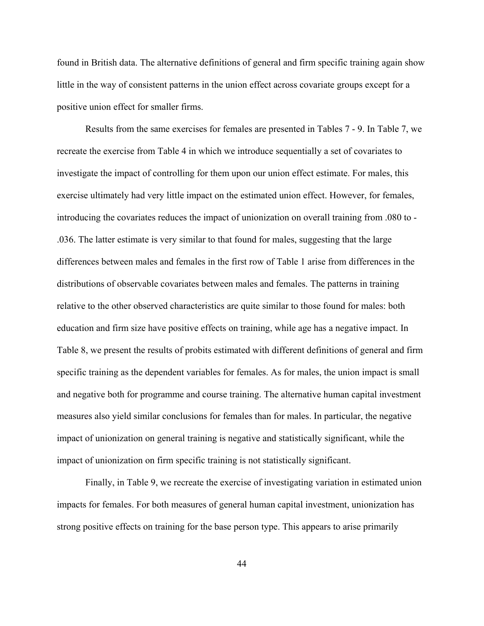found in British data. The alternative definitions of general and firm specific training again show little in the way of consistent patterns in the union effect across covariate groups except for a positive union effect for smaller firms.

Results from the same exercises for females are presented in Tables 7 - 9. In Table 7, we recreate the exercise from Table 4 in which we introduce sequentially a set of covariates to investigate the impact of controlling for them upon our union effect estimate. For males, this exercise ultimately had very little impact on the estimated union effect. However, for females, introducing the covariates reduces the impact of unionization on overall training from .080 to - .036. The latter estimate is very similar to that found for males, suggesting that the large differences between males and females in the first row of Table 1 arise from differences in the distributions of observable covariates between males and females. The patterns in training relative to the other observed characteristics are quite similar to those found for males: both education and firm size have positive effects on training, while age has a negative impact. In Table 8, we present the results of probits estimated with different definitions of general and firm specific training as the dependent variables for females. As for males, the union impact is small and negative both for programme and course training. The alternative human capital investment measures also yield similar conclusions for females than for males. In particular, the negative impact of unionization on general training is negative and statistically significant, while the impact of unionization on firm specific training is not statistically significant.

Finally, in Table 9, we recreate the exercise of investigating variation in estimated union impacts for females. For both measures of general human capital investment, unionization has strong positive effects on training for the base person type. This appears to arise primarily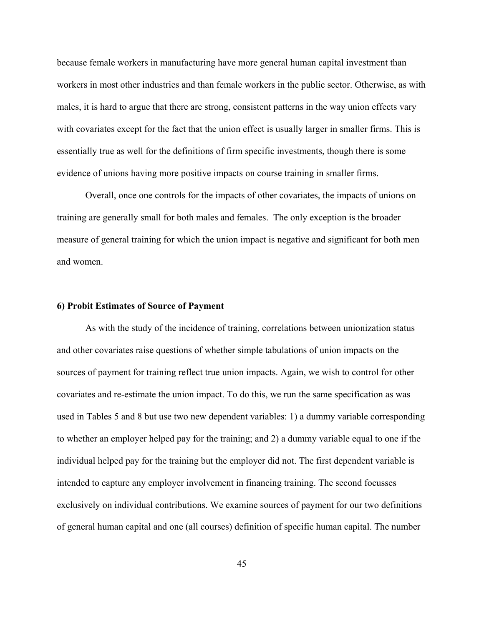because female workers in manufacturing have more general human capital investment than workers in most other industries and than female workers in the public sector. Otherwise, as with males, it is hard to argue that there are strong, consistent patterns in the way union effects vary with covariates except for the fact that the union effect is usually larger in smaller firms. This is essentially true as well for the definitions of firm specific investments, though there is some evidence of unions having more positive impacts on course training in smaller firms.

Overall, once one controls for the impacts of other covariates, the impacts of unions on training are generally small for both males and females. The only exception is the broader measure of general training for which the union impact is negative and significant for both men and women.

### **6) Probit Estimates of Source of Payment**

As with the study of the incidence of training, correlations between unionization status and other covariates raise questions of whether simple tabulations of union impacts on the sources of payment for training reflect true union impacts. Again, we wish to control for other covariates and re-estimate the union impact. To do this, we run the same specification as was used in Tables 5 and 8 but use two new dependent variables: 1) a dummy variable corresponding to whether an employer helped pay for the training; and 2) a dummy variable equal to one if the individual helped pay for the training but the employer did not. The first dependent variable is intended to capture any employer involvement in financing training. The second focusses exclusively on individual contributions. We examine sources of payment for our two definitions of general human capital and one (all courses) definition of specific human capital. The number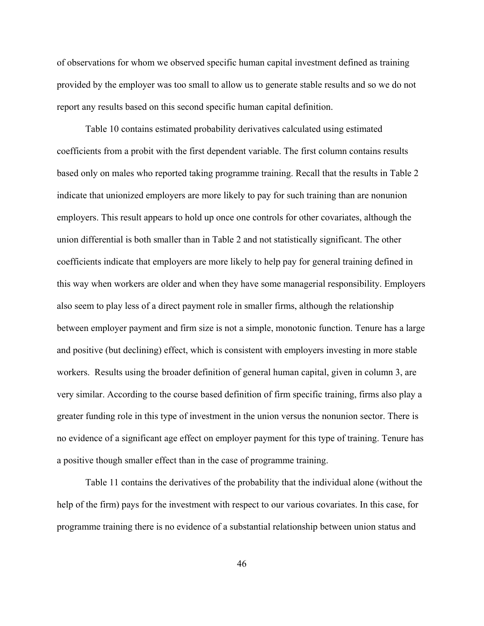of observations for whom we observed specific human capital investment defined as training provided by the employer was too small to allow us to generate stable results and so we do not report any results based on this second specific human capital definition.

Table 10 contains estimated probability derivatives calculated using estimated coefficients from a probit with the first dependent variable. The first column contains results based only on males who reported taking programme training. Recall that the results in Table 2 indicate that unionized employers are more likely to pay for such training than are nonunion employers. This result appears to hold up once one controls for other covariates, although the union differential is both smaller than in Table 2 and not statistically significant. The other coefficients indicate that employers are more likely to help pay for general training defined in this way when workers are older and when they have some managerial responsibility. Employers also seem to play less of a direct payment role in smaller firms, although the relationship between employer payment and firm size is not a simple, monotonic function. Tenure has a large and positive (but declining) effect, which is consistent with employers investing in more stable workers. Results using the broader definition of general human capital, given in column 3, are very similar. According to the course based definition of firm specific training, firms also play a greater funding role in this type of investment in the union versus the nonunion sector. There is no evidence of a significant age effect on employer payment for this type of training. Tenure has a positive though smaller effect than in the case of programme training.

Table 11 contains the derivatives of the probability that the individual alone (without the help of the firm) pays for the investment with respect to our various covariates. In this case, for programme training there is no evidence of a substantial relationship between union status and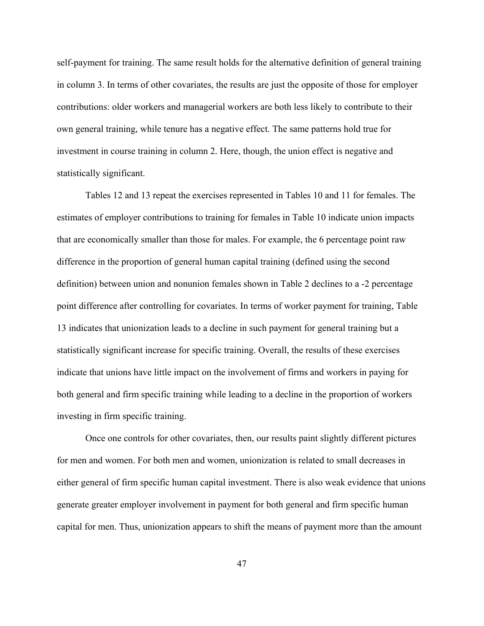self-payment for training. The same result holds for the alternative definition of general training in column 3. In terms of other covariates, the results are just the opposite of those for employer contributions: older workers and managerial workers are both less likely to contribute to their own general training, while tenure has a negative effect. The same patterns hold true for investment in course training in column 2. Here, though, the union effect is negative and statistically significant.

Tables 12 and 13 repeat the exercises represented in Tables 10 and 11 for females. The estimates of employer contributions to training for females in Table 10 indicate union impacts that are economically smaller than those for males. For example, the 6 percentage point raw difference in the proportion of general human capital training (defined using the second definition) between union and nonunion females shown in Table 2 declines to a -2 percentage point difference after controlling for covariates. In terms of worker payment for training, Table 13 indicates that unionization leads to a decline in such payment for general training but a statistically significant increase for specific training. Overall, the results of these exercises indicate that unions have little impact on the involvement of firms and workers in paying for both general and firm specific training while leading to a decline in the proportion of workers investing in firm specific training.

Once one controls for other covariates, then, our results paint slightly different pictures for men and women. For both men and women, unionization is related to small decreases in either general of firm specific human capital investment. There is also weak evidence that unions generate greater employer involvement in payment for both general and firm specific human capital for men. Thus, unionization appears to shift the means of payment more than the amount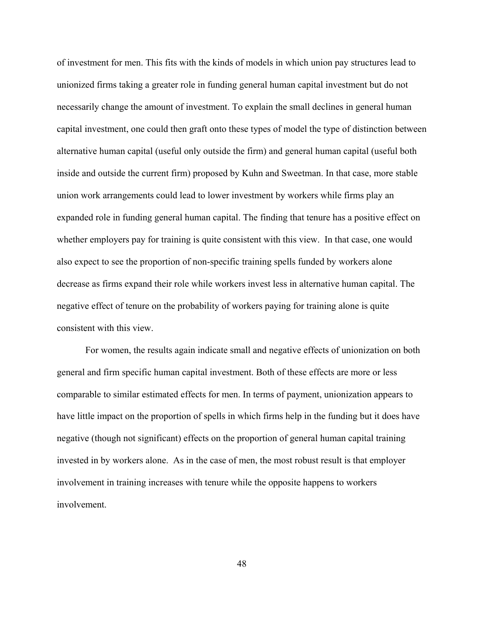of investment for men. This fits with the kinds of models in which union pay structures lead to unionized firms taking a greater role in funding general human capital investment but do not necessarily change the amount of investment. To explain the small declines in general human capital investment, one could then graft onto these types of model the type of distinction between alternative human capital (useful only outside the firm) and general human capital (useful both inside and outside the current firm) proposed by Kuhn and Sweetman. In that case, more stable union work arrangements could lead to lower investment by workers while firms play an expanded role in funding general human capital. The finding that tenure has a positive effect on whether employers pay for training is quite consistent with this view. In that case, one would also expect to see the proportion of non-specific training spells funded by workers alone decrease as firms expand their role while workers invest less in alternative human capital. The negative effect of tenure on the probability of workers paying for training alone is quite consistent with this view.

For women, the results again indicate small and negative effects of unionization on both general and firm specific human capital investment. Both of these effects are more or less comparable to similar estimated effects for men. In terms of payment, unionization appears to have little impact on the proportion of spells in which firms help in the funding but it does have negative (though not significant) effects on the proportion of general human capital training invested in by workers alone. As in the case of men, the most robust result is that employer involvement in training increases with tenure while the opposite happens to workers involvement.

48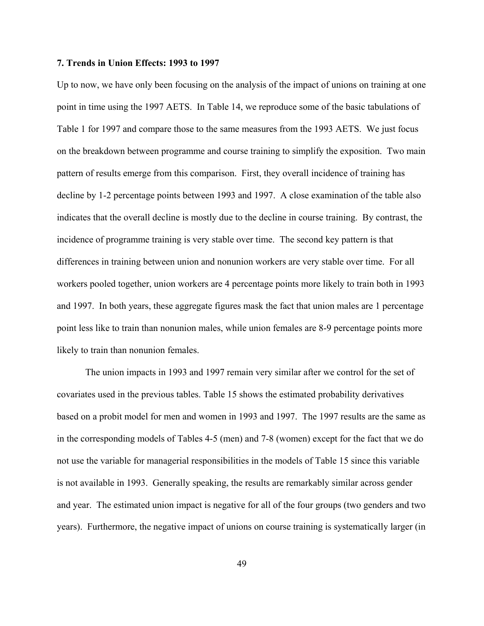#### **7. Trends in Union Effects: 1993 to 1997**

Up to now, we have only been focusing on the analysis of the impact of unions on training at one point in time using the 1997 AETS. In Table 14, we reproduce some of the basic tabulations of Table 1 for 1997 and compare those to the same measures from the 1993 AETS. We just focus on the breakdown between programme and course training to simplify the exposition. Two main pattern of results emerge from this comparison. First, they overall incidence of training has decline by 1-2 percentage points between 1993 and 1997. A close examination of the table also indicates that the overall decline is mostly due to the decline in course training. By contrast, the incidence of programme training is very stable over time. The second key pattern is that differences in training between union and nonunion workers are very stable over time. For all workers pooled together, union workers are 4 percentage points more likely to train both in 1993 and 1997. In both years, these aggregate figures mask the fact that union males are 1 percentage point less like to train than nonunion males, while union females are 8-9 percentage points more likely to train than nonunion females.

The union impacts in 1993 and 1997 remain very similar after we control for the set of covariates used in the previous tables. Table 15 shows the estimated probability derivatives based on a probit model for men and women in 1993 and 1997. The 1997 results are the same as in the corresponding models of Tables 4-5 (men) and 7-8 (women) except for the fact that we do not use the variable for managerial responsibilities in the models of Table 15 since this variable is not available in 1993. Generally speaking, the results are remarkably similar across gender and year. The estimated union impact is negative for all of the four groups (two genders and two years). Furthermore, the negative impact of unions on course training is systematically larger (in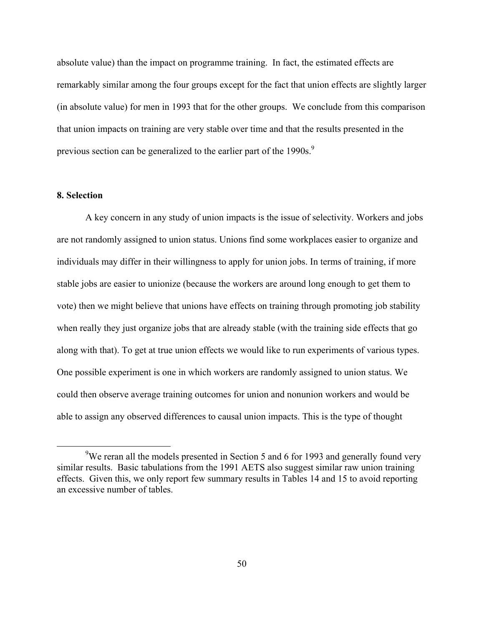absolute value) than the impact on programme training. In fact, the estimated effects are remarkably similar among the four groups except for the fact that union effects are slightly larger (in absolute value) for men in 1993 that for the other groups. We conclude from this comparison that union impacts on training are very stable over time and that the results presented in the previous section can be generalized to the earlier part of the 1990s.<sup>9</sup>

## **8. Selection**

A key concern in any study of union impacts is the issue of selectivity. Workers and jobs are not randomly assigned to union status. Unions find some workplaces easier to organize and individuals may differ in their willingness to apply for union jobs. In terms of training, if more stable jobs are easier to unionize (because the workers are around long enough to get them to vote) then we might believe that unions have effects on training through promoting job stability when really they just organize jobs that are already stable (with the training side effects that go along with that). To get at true union effects we would like to run experiments of various types. One possible experiment is one in which workers are randomly assigned to union status. We could then observe average training outcomes for union and nonunion workers and would be able to assign any observed differences to causal union impacts. This is the type of thought

 <sup>9</sup>  $\degree$ We reran all the models presented in Section 5 and 6 for 1993 and generally found very similar results. Basic tabulations from the 1991 AETS also suggest similar raw union training effects. Given this, we only report few summary results in Tables 14 and 15 to avoid reporting an excessive number of tables.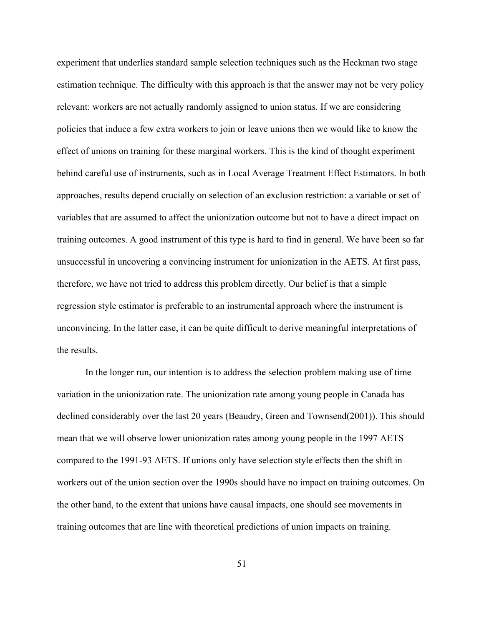experiment that underlies standard sample selection techniques such as the Heckman two stage estimation technique. The difficulty with this approach is that the answer may not be very policy relevant: workers are not actually randomly assigned to union status. If we are considering policies that induce a few extra workers to join or leave unions then we would like to know the effect of unions on training for these marginal workers. This is the kind of thought experiment behind careful use of instruments, such as in Local Average Treatment Effect Estimators. In both approaches, results depend crucially on selection of an exclusion restriction: a variable or set of variables that are assumed to affect the unionization outcome but not to have a direct impact on training outcomes. A good instrument of this type is hard to find in general. We have been so far unsuccessful in uncovering a convincing instrument for unionization in the AETS. At first pass, therefore, we have not tried to address this problem directly. Our belief is that a simple regression style estimator is preferable to an instrumental approach where the instrument is unconvincing. In the latter case, it can be quite difficult to derive meaningful interpretations of the results.

In the longer run, our intention is to address the selection problem making use of time variation in the unionization rate. The unionization rate among young people in Canada has declined considerably over the last 20 years (Beaudry, Green and Townsend(2001)). This should mean that we will observe lower unionization rates among young people in the 1997 AETS compared to the 1991-93 AETS. If unions only have selection style effects then the shift in workers out of the union section over the 1990s should have no impact on training outcomes. On the other hand, to the extent that unions have causal impacts, one should see movements in training outcomes that are line with theoretical predictions of union impacts on training.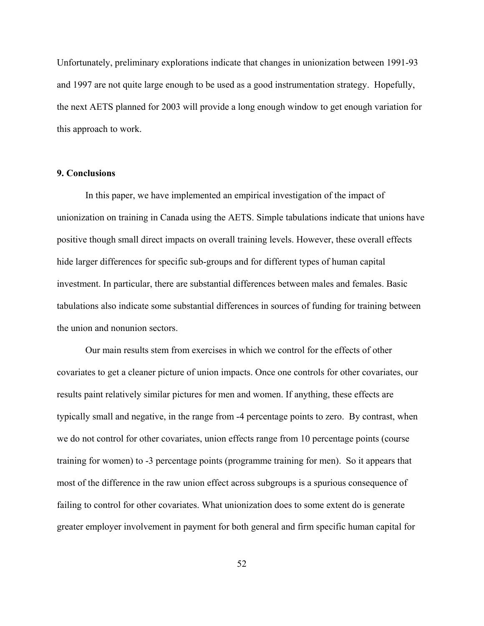Unfortunately, preliminary explorations indicate that changes in unionization between 1991-93 and 1997 are not quite large enough to be used as a good instrumentation strategy. Hopefully, the next AETS planned for 2003 will provide a long enough window to get enough variation for this approach to work.

### **9. Conclusions**

In this paper, we have implemented an empirical investigation of the impact of unionization on training in Canada using the AETS. Simple tabulations indicate that unions have positive though small direct impacts on overall training levels. However, these overall effects hide larger differences for specific sub-groups and for different types of human capital investment. In particular, there are substantial differences between males and females. Basic tabulations also indicate some substantial differences in sources of funding for training between the union and nonunion sectors.

Our main results stem from exercises in which we control for the effects of other covariates to get a cleaner picture of union impacts. Once one controls for other covariates, our results paint relatively similar pictures for men and women. If anything, these effects are typically small and negative, in the range from -4 percentage points to zero. By contrast, when we do not control for other covariates, union effects range from 10 percentage points (course training for women) to -3 percentage points (programme training for men). So it appears that most of the difference in the raw union effect across subgroups is a spurious consequence of failing to control for other covariates. What unionization does to some extent do is generate greater employer involvement in payment for both general and firm specific human capital for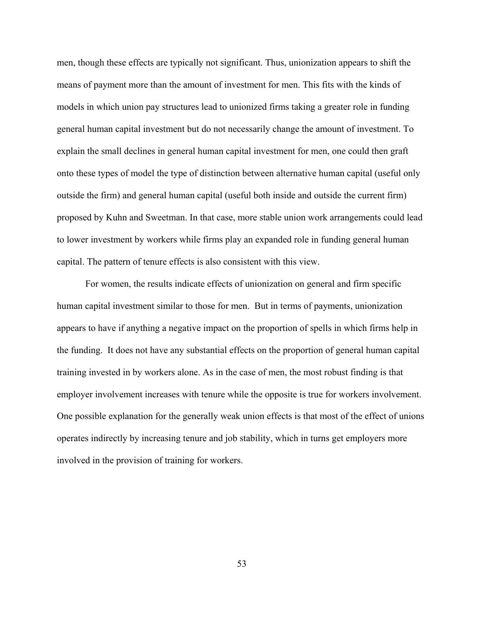men, though these effects are typically not significant. Thus, unionization appears to shift the means of payment more than the amount of investment for men. This fits with the kinds of models in which union pay structures lead to unionized firms taking a greater role in funding general human capital investment but do not necessarily change the amount of investment. To explain the small declines in general human capital investment for men, one could then graft onto these types of model the type of distinction between alternative human capital (useful only outside the firm) and general human capital (useful both inside and outside the current firm) proposed by Kuhn and Sweetman. In that case, more stable union work arrangements could lead to lower investment by workers while firms play an expanded role in funding general human capital. The pattern of tenure effects is also consistent with this view.

For women, the results indicate effects of unionization on general and firm specific human capital investment similar to those for men. But in terms of payments, unionization appears to have if anything a negative impact on the proportion of spells in which firms help in the funding. It does not have any substantial effects on the proportion of general human capital training invested in by workers alone. As in the case of men, the most robust finding is that employer involvement increases with tenure while the opposite is true for workers involvement. One possible explanation for the generally weak union effects is that most of the effect of unions operates indirectly by increasing tenure and job stability, which in turns get employers more involved in the provision of training for workers.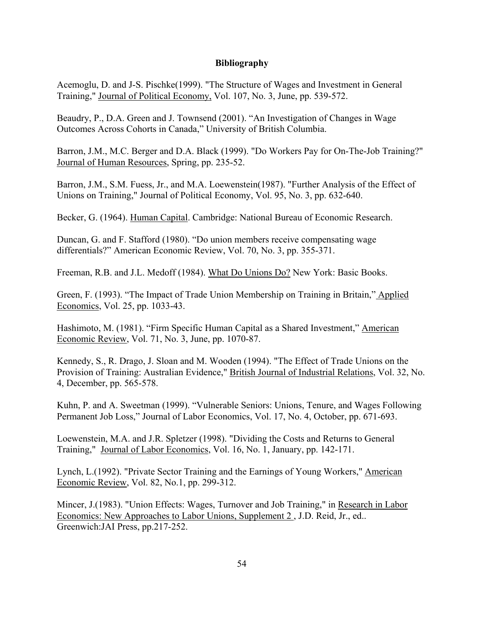# **Bibliography**

Acemoglu, D. and J-S. Pischke(1999). "The Structure of Wages and Investment in General Training," Journal of Political Economy, Vol. 107, No. 3, June, pp. 539-572.

Beaudry, P., D.A. Green and J. Townsend (2001). "An Investigation of Changes in Wage Outcomes Across Cohorts in Canada," University of British Columbia.

Barron, J.M., M.C. Berger and D.A. Black (1999). "Do Workers Pay for On-The-Job Training?" Journal of Human Resources, Spring, pp. 235-52.

Barron, J.M., S.M. Fuess, Jr., and M.A. Loewenstein(1987). "Further Analysis of the Effect of Unions on Training," Journal of Political Economy, Vol. 95, No. 3, pp. 632-640.

Becker, G. (1964). Human Capital. Cambridge: National Bureau of Economic Research.

Duncan, G. and F. Stafford (1980). "Do union members receive compensating wage differentials?" American Economic Review, Vol. 70, No. 3, pp. 355-371.

Freeman, R.B. and J.L. Medoff (1984). What Do Unions Do? New York: Basic Books.

Green, F. (1993). "The Impact of Trade Union Membership on Training in Britain," Applied Economics, Vol. 25, pp. 1033-43.

Hashimoto, M. (1981). "Firm Specific Human Capital as a Shared Investment," American Economic Review, Vol. 71, No. 3, June, pp. 1070-87.

Kennedy, S., R. Drago, J. Sloan and M. Wooden (1994). "The Effect of Trade Unions on the Provision of Training: Australian Evidence," British Journal of Industrial Relations, Vol. 32, No. 4, December, pp. 565-578.

Kuhn, P. and A. Sweetman (1999). "Vulnerable Seniors: Unions, Tenure, and Wages Following Permanent Job Loss," Journal of Labor Economics, Vol. 17, No. 4, October, pp. 671-693.

Loewenstein, M.A. and J.R. Spletzer (1998). "Dividing the Costs and Returns to General Training," Journal of Labor Economics, Vol. 16, No. 1, January, pp. 142-171.

Lynch, L.(1992). "Private Sector Training and the Earnings of Young Workers," American Economic Review, Vol. 82, No.1, pp. 299-312.

Mincer, J.(1983). "Union Effects: Wages, Turnover and Job Training," in Research in Labor Economics: New Approaches to Labor Unions, Supplement 2 , J.D. Reid, Jr., ed.. Greenwich:JAI Press, pp.217-252.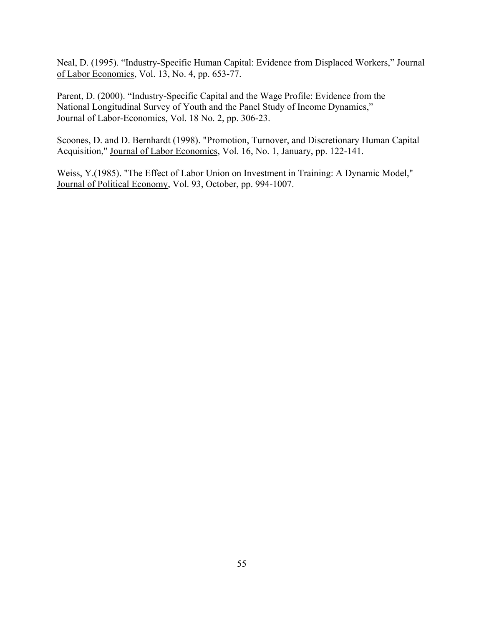Neal, D. (1995). "Industry-Specific Human Capital: Evidence from Displaced Workers," Journal of Labor Economics, Vol. 13, No. 4, pp. 653-77.

Parent, D. (2000). "Industry-Specific Capital and the Wage Profile: Evidence from the National Longitudinal Survey of Youth and the Panel Study of Income Dynamics," Journal of Labor-Economics, Vol. 18 No. 2, pp. 306-23.

Scoones, D. and D. Bernhardt (1998). "Promotion, Turnover, and Discretionary Human Capital Acquisition," Journal of Labor Economics, Vol. 16, No. 1, January, pp. 122-141.

Weiss, Y.(1985). "The Effect of Labor Union on Investment in Training: A Dynamic Model," Journal of Political Economy, Vol. 93, October, pp. 994-1007.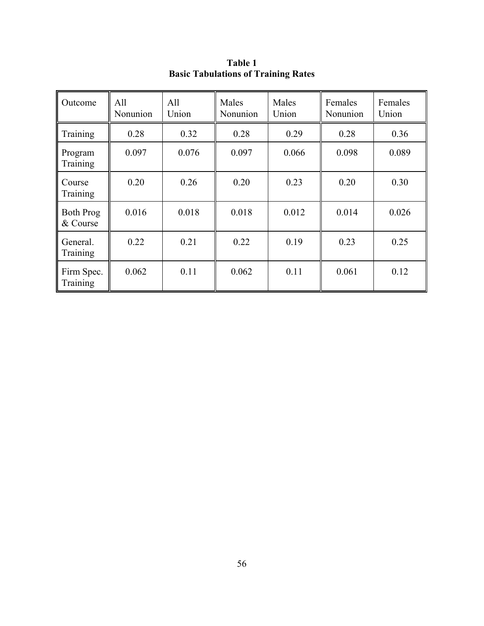| Outcome                       | All<br>Nonunion | All<br>Union | Males<br>Nonunion | Males<br>Union | Females<br>Nonunion | Females<br>Union |
|-------------------------------|-----------------|--------------|-------------------|----------------|---------------------|------------------|
| Training                      | 0.28            | 0.32         | 0.28              | 0.29           | 0.28                | 0.36             |
| Program<br>Training           | 0.097           | 0.076        | 0.097             | 0.066          | 0.098               | 0.089            |
| Course<br>Training            | 0.20            | 0.26         | 0.20              | 0.23           | 0.20                | 0.30             |
| <b>Both Prog</b><br>& Course  | 0.016           | 0.018        | 0.018             | 0.012          | 0.014               | 0.026            |
| General.<br>Training          | 0.22            | 0.21         | 0.22              | 0.19           | 0.23                | 0.25             |
| Firm Spec.<br><b>Training</b> | 0.062           | 0.11         | 0.062             | 0.11           | 0.061               | 0.12             |

**Table 1 Basic Tabulations of Training Rates**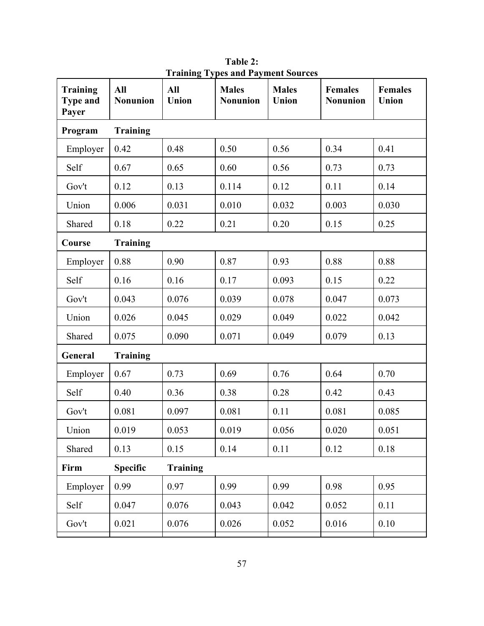| <b>Training</b><br><b>Type and</b><br>Payer | All<br><b>Nonunion</b> | All<br>Union    | <b>Males</b><br><b>Nonunion</b> | <b>Males</b><br>Union | <b>Females</b><br><b>Nonunion</b> | <b>Females</b><br><b>Union</b> |
|---------------------------------------------|------------------------|-----------------|---------------------------------|-----------------------|-----------------------------------|--------------------------------|
| Program                                     | <b>Training</b>        |                 |                                 |                       |                                   |                                |
| Employer                                    | 0.42                   | 0.48            | 0.50                            | 0.56                  | 0.34                              | 0.41                           |
| Self                                        | 0.67                   | 0.65            | 0.60                            | 0.56                  | 0.73                              | 0.73                           |
| Gov't                                       | 0.12                   | 0.13            | 0.114                           | 0.12                  | 0.11                              | 0.14                           |
| Union                                       | 0.006                  | 0.031           | 0.010                           | 0.032                 | 0.003                             | 0.030                          |
| Shared                                      | 0.18                   | 0.22            | 0.21                            | 0.20                  | 0.15                              | 0.25                           |
| Course                                      | <b>Training</b>        |                 |                                 |                       |                                   |                                |
| Employer                                    | 0.88                   | 0.90            | 0.87                            | 0.93                  | 0.88                              | 0.88                           |
| Self                                        | 0.16                   | 0.16            | 0.17                            | 0.093                 | 0.15                              | 0.22                           |
| Gov't                                       | 0.043                  | 0.076           | 0.039                           | 0.078                 | 0.047                             | 0.073                          |
| Union                                       | 0.026                  | 0.045           | 0.029                           | 0.049                 | 0.022                             | 0.042                          |
| Shared                                      | 0.075                  | 0.090           | 0.071                           | 0.049                 | 0.079                             | 0.13                           |
| General                                     | <b>Training</b>        |                 |                                 |                       |                                   |                                |
| Employer                                    | 0.67                   | 0.73            | 0.69                            | 0.76                  | 0.64                              | 0.70                           |
| Self                                        | 0.40                   | 0.36            | 0.38                            | 0.28                  | 0.42                              | 0.43                           |
| Gov't                                       | 0.081                  | 0.097           | 0.081                           | 0.11                  | 0.081                             | 0.085                          |
| Union                                       | 0.019                  | 0.053           | 0.019                           | 0.056                 | 0.020                             | 0.051                          |
| Shared                                      | 0.13                   | 0.15            | 0.14                            | 0.11                  | 0.12                              | 0.18                           |
| Firm                                        | <b>Specific</b>        | <b>Training</b> |                                 |                       |                                   |                                |
| Employer                                    | 0.99                   | 0.97            | 0.99                            | 0.99                  | 0.98                              | 0.95                           |
| Self                                        | 0.047                  | 0.076           | 0.043                           | 0.042                 | 0.052                             | 0.11                           |
| Gov't                                       | 0.021                  | 0.076           | 0.026                           | 0.052                 | 0.016                             | 0.10                           |
|                                             |                        |                 |                                 |                       |                                   |                                |

**Table 2: Training Types and Payment Sources**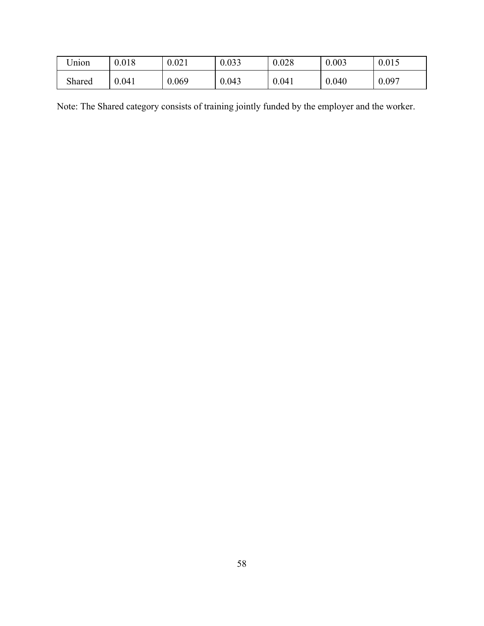| $U$ nion | 0.018 | 0.021 | 0.033 | 0.028 | 0.003 | 0.015 |
|----------|-------|-------|-------|-------|-------|-------|
| Shared   | 0.041 | 0.069 | 0.043 | 0.041 | 0.040 | 0.097 |

Note: The Shared category consists of training jointly funded by the employer and the worker.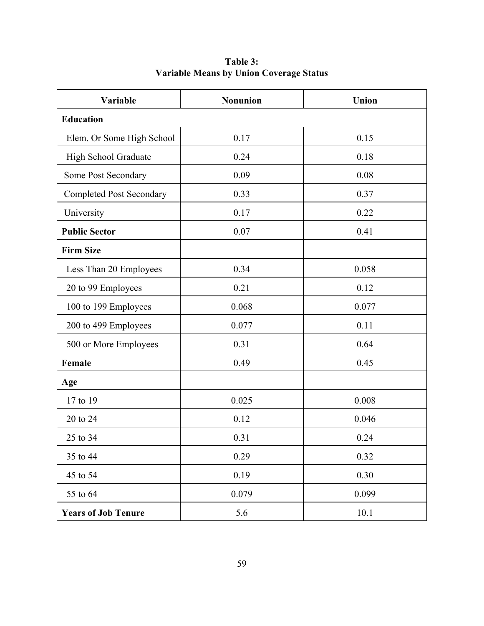| Variable                        | <b>Nonunion</b> | Union |
|---------------------------------|-----------------|-------|
| <b>Education</b>                |                 |       |
| Elem. Or Some High School       | 0.17            | 0.15  |
| High School Graduate            | 0.24            | 0.18  |
| Some Post Secondary             | 0.09            | 0.08  |
| <b>Completed Post Secondary</b> | 0.33            | 0.37  |
| University                      | 0.17            | 0.22  |
| <b>Public Sector</b>            | 0.07            | 0.41  |
| <b>Firm Size</b>                |                 |       |
| Less Than 20 Employees          | 0.34            | 0.058 |
| 20 to 99 Employees              | 0.21            | 0.12  |
| 100 to 199 Employees            | 0.068           | 0.077 |
| 200 to 499 Employees            | 0.077           | 0.11  |
| 500 or More Employees           | 0.31            | 0.64  |
| Female                          | 0.49            | 0.45  |
| Age                             |                 |       |
| 17 to 19                        | 0.025           | 0.008 |
| 20 to 24                        | 0.12            | 0.046 |
| 25 to 34                        | 0.31            | 0.24  |
| 35 to 44                        | 0.29            | 0.32  |
| 45 to 54                        | 0.19            | 0.30  |
| 55 to 64                        | 0.079           | 0.099 |
| <b>Years of Job Tenure</b>      | 5.6             | 10.1  |

**Table 3: Variable Means by Union Coverage Status**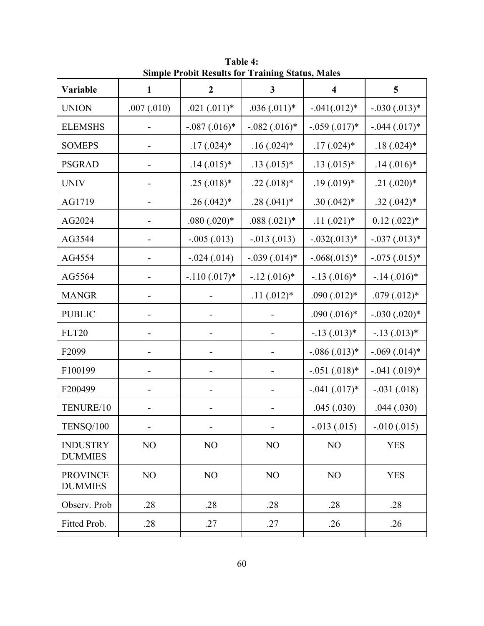| Variable                          | $\mathbf{1}$ | $\overline{2}$ | $_{\rm{Sumpic}}$ room results for training $_{\rm{S}}$ and $_{\rm{Sup}}$ mates<br>$\mathbf{3}$ | $\overline{\mathbf{4}}$ | 5                |
|-----------------------------------|--------------|----------------|------------------------------------------------------------------------------------------------|-------------------------|------------------|
| <b>UNION</b>                      | .007(.010)   | $.021(.011)*$  | $.036(.011)*$                                                                                  | $-.041(.012)*$          | $-.030(.013)*$   |
| <b>ELEMSHS</b>                    |              | $-.087(.016)*$ | $-.082(.016)*$                                                                                 | $-.059(.017)*$          | $-.044(.017)*$   |
| <b>SOMEPS</b>                     |              | $.17(.024)*$   | $.16(.024)*$                                                                                   | $.17(.024)*$            | $.18(.024)$ *    |
| <b>PSGRAD</b>                     |              | $.14(.015)*$   | $.13(.015)*$                                                                                   | $.13(.015)*$            | $.14(.016)*$     |
| <b>UNIV</b>                       |              | $.25(.018)*$   | $.22(.018)*$                                                                                   | $.19(.019)*$            | $.21(.020)*$     |
| AG1719                            |              | $.26(.042)*$   | $.28(.041)*$                                                                                   | $.30(.042)*$            | $.32(.042)*$     |
| AG2024                            |              | $.080(.020)*$  | $.088(.021)*$                                                                                  | $.11(.021)$ *           | $0.12$ $(.022)*$ |
| AG3544                            |              | $-.005(.013)$  | $-.013(.013)$                                                                                  | $-.032(.013)*$          | $-.037(.013)*$   |
| AG4554                            |              | $-.024(.014)$  | $-.039(.014)*$                                                                                 | $-.068(.015)*$          | $-.075(.015)*$   |
| AG5564                            |              | $-.110(.017)*$ | $-.12(.016)*$                                                                                  | $-.13(.016)*$           | $-.14(.016)*$    |
| <b>MANGR</b>                      |              |                | $.11(.012)*$                                                                                   | $.090(.012)*$           | $.079(.012)*$    |
| <b>PUBLIC</b>                     |              |                |                                                                                                | $.090(.016)*$           | $-.030(.020)*$   |
| <b>FLT20</b>                      |              |                |                                                                                                | $-.13(.013)*$           | $-.13(.013)*$    |
| F2099                             |              |                |                                                                                                | $-.086(.013)*$          | $-.069(.014)*$   |
| F100199                           |              |                |                                                                                                | $-.051(.018)*$          | $-.041(.019)*$   |
| F200499                           |              |                |                                                                                                | $-.041(.017)*$          | $-.031(.018)$    |
| TENURE/10                         |              |                |                                                                                                | .045(.030)              | .044(.030)       |
| TENSQ/100                         |              |                |                                                                                                | $-.013(.015)$           | $-0.010(0.015)$  |
| <b>INDUSTRY</b><br><b>DUMMIES</b> | NO           | NO             | NO                                                                                             | NO                      | <b>YES</b>       |
| <b>PROVINCE</b><br><b>DUMMIES</b> | NO           | NO             | NO                                                                                             | N <sub>O</sub>          | <b>YES</b>       |
| Observ. Prob                      | .28          | .28            | .28                                                                                            | .28                     | .28              |
| Fitted Prob.                      | .28          | .27            | .27                                                                                            | .26                     | .26              |

**Table 4: Simple Probit Results for Training Status, Males**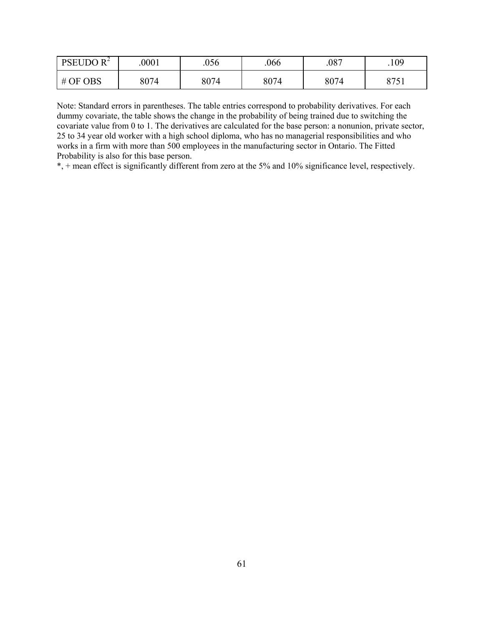| PSEUDO $R^2$ | 0001 | .056 | .066 | .087 | .109         |
|--------------|------|------|------|------|--------------|
| $#$ OF OBS   | 8074 | 8074 | 8074 | 8074 | Q751<br>0191 |

Note: Standard errors in parentheses. The table entries correspond to probability derivatives. For each dummy covariate, the table shows the change in the probability of being trained due to switching the covariate value from 0 to 1. The derivatives are calculated for the base person: a nonunion, private sector, 25 to 34 year old worker with a high school diploma, who has no managerial responsibilities and who works in a firm with more than 500 employees in the manufacturing sector in Ontario. The Fitted Probability is also for this base person.

\*, + mean effect is significantly different from zero at the 5% and 10% significance level, respectively.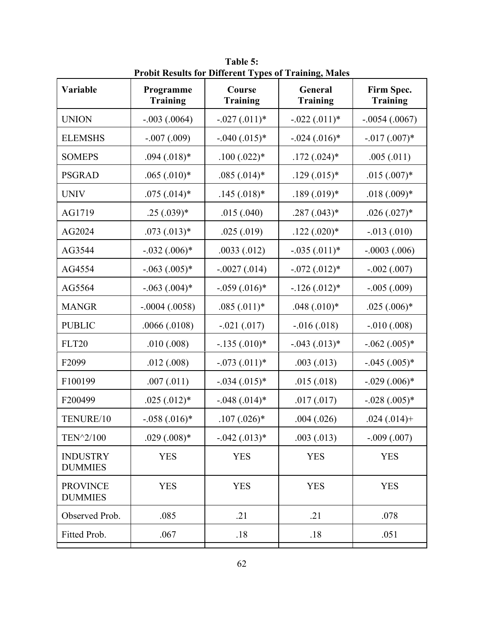| Variable                          | Programme       | i robit Kesuns for Dhittent Types of Trailing, Males<br>Course | General         | Firm Spec.          |
|-----------------------------------|-----------------|----------------------------------------------------------------|-----------------|---------------------|
|                                   | <b>Training</b> | <b>Training</b>                                                | <b>Training</b> | <b>Training</b>     |
| <b>UNION</b>                      | $-.003(.0064)$  | $-.027(.011)*$                                                 | $-.022(.011)*$  | $-.0054(.0067)$     |
| <b>ELEMSHS</b>                    | $-.007(.009)$   | $-.040(.015)*$                                                 | $-.024(.016)*$  | $-0.017$ $(0.007)*$ |
| <b>SOMEPS</b>                     | $.094(.018)*$   | $.100(.022)*$                                                  | $.172(.024)$ *  | .005(.011)          |
| <b>PSGRAD</b>                     | $.065(.010)*$   | $.085(.014)*$                                                  | $.129(.015)*$   | $.015(.007)*$       |
| <b>UNIV</b>                       | $.075(.014)*$   | $.145(.018)*$                                                  | $.189(.019)*$   | $.018(.009)*$       |
| AG1719                            | $.25(.039)*$    | .015(.040)                                                     | $.287(.043)*$   | $.026(.027)$ *      |
| AG2024                            | $.073(.013)*$   | .025(.019)                                                     | $.122(.020)*$   | $-.013(.010)$       |
| AG3544                            | $-.032(.006)*$  | .0033(.012)                                                    | $-.035(.011)*$  | $-.0003(.006)$      |
| AG4554                            | $-.063(.005)*$  | $-.0027(.014)$                                                 | $-.072(.012)*$  | $-.002(.007)$       |
| AG5564                            | $-.063(.004)*$  | $-.059(.016)*$                                                 | $-126(012)*$    | $-.005(.009)$       |
| <b>MANGR</b>                      | $-.0004(.0058)$ | $.085(.011)*$                                                  | $.048(.010)*$   | $.025(.006)*$       |
| <b>PUBLIC</b>                     | .0066(.0108)    | $-.021(.017)$                                                  | $-0.016(0.018)$ | $-.010(.008)$       |
| <b>FLT20</b>                      | .010(.008)      | $-.135(.010)*$                                                 | $-.043(.013)*$  | $-.062(.005)*$      |
| F2099                             | .012(.008)      | $-.073(.011)*$                                                 | .003(.013)      | $-.045(.005)*$      |
| F100199                           | .007(.011)      | $-.034(.015)*$                                                 | .015(.018)      | $-.029(.006)*$      |
| F200499                           | $.025(.012)*$   | $-.048(.014)*$                                                 | .017(.017)      | $-.028(.005)*$      |
| TENURE/10                         | $-.058(.016)*$  | $.107(.026)*$                                                  | .004(.026)      | $.024(.014) +$      |
| TEN^2/100                         | $.029(.008)*$   | $-0.042(0.013)*$                                               | .003(.013)      | $-.009(.007)$       |
| <b>INDUSTRY</b><br><b>DUMMIES</b> | <b>YES</b>      | <b>YES</b>                                                     | <b>YES</b>      | <b>YES</b>          |
| <b>PROVINCE</b><br><b>DUMMIES</b> | <b>YES</b>      | <b>YES</b>                                                     | <b>YES</b>      | <b>YES</b>          |
| Observed Prob.                    | .085            | .21                                                            | .21             | .078                |
| Fitted Prob.                      | .067            | .18                                                            | .18             | .051                |

 **Table 5: Probit Results for Different Types of Training, Males**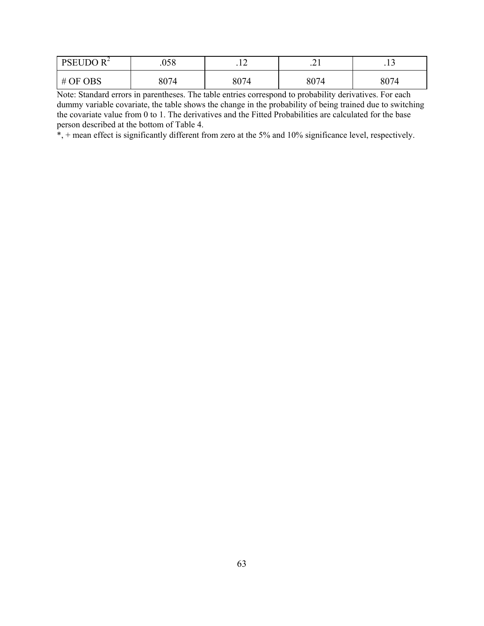| PSEUDO $R^2$  | .058 | .    | $-1$ | .    |
|---------------|------|------|------|------|
| <b>DF OBS</b> | 8074 | 8074 | 8074 | 8074 |

Note: Standard errors in parentheses. The table entries correspond to probability derivatives. For each dummy variable covariate, the table shows the change in the probability of being trained due to switching the covariate value from 0 to 1. The derivatives and the Fitted Probabilities are calculated for the base person described at the bottom of Table 4.

 $*$ , + mean effect is significantly different from zero at the 5% and 10% significance level, respectively.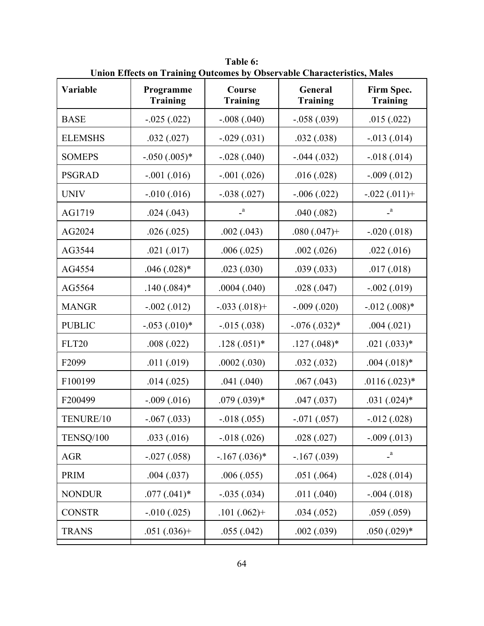| Union Effects on Training Outcomes by Observable Characteristics, Males |                              |                           |                            |                               |  |  |  |
|-------------------------------------------------------------------------|------------------------------|---------------------------|----------------------------|-------------------------------|--|--|--|
| Variable                                                                | Programme<br><b>Training</b> | Course<br><b>Training</b> | General<br><b>Training</b> | Firm Spec.<br><b>Training</b> |  |  |  |
| <b>BASE</b>                                                             | $-.025(.022)$                | $-.008(.040)$             | $-.058(.039)$              | .015(.022)                    |  |  |  |
| <b>ELEMSHS</b>                                                          | .032(.027)                   | $-.029(.031)$             | .032(.038)                 | $-0.013(0.014)$               |  |  |  |
| <b>SOMEPS</b>                                                           | $-.050(.005)*$               | $-.028(.040)$             | $-0.044(0.032)$            | $-0.018(.014)$                |  |  |  |
| <b>PSGRAD</b>                                                           | $-.001(.016)$                | $-.001(.026)$             | .016(.028)                 | $-.009(.012)$                 |  |  |  |
| <b>UNIV</b>                                                             | $-0.010(0.016)$              | $-.038(.027)$             | $-.006(.022)$              | $-.022(.011) +$               |  |  |  |
| AG1719                                                                  | .024(.043)                   | $\mathbf{a}$              | .040(.082)                 | $\mathbf{a}$                  |  |  |  |
| AG2024                                                                  | .026(.025)                   | .002(.043)                | $.080(.047) +$             | $-.020(.018)$                 |  |  |  |
| AG3544                                                                  | .021(.017)                   | .006(.025)                | .002(.026)                 | .022(.016)                    |  |  |  |
| AG4554                                                                  | $.046(.028)*$                | .023(.030)                | .039(.033)                 | .017(.018)                    |  |  |  |
| AG5564                                                                  | $.140(.084)$ *               | .0004(.040)               | .028(.047)                 | $-.002(.019)$                 |  |  |  |
| <b>MANGR</b>                                                            | $-.002(.012)$                | $-.033(.018) +$           | $-.009(.020)$              | $-.012(.008)*$                |  |  |  |
| <b>PUBLIC</b>                                                           | $-.053(.010)*$               | $-0.015(0.038)$           | $-0.076(0.032)*$           | .004(.021)                    |  |  |  |
| <b>FLT20</b>                                                            | .008(.022)                   | $.128(.051)*$             | $.127(.048)*$              | $.021(.033)*$                 |  |  |  |
| F2099                                                                   | .011(.019)                   | .0002(.030)               | .032(.032)                 | $.004(.018)*$                 |  |  |  |
| F100199                                                                 | .014(.025)                   | .041(.040)                | .067(.043)                 | $.0116(.023)*$                |  |  |  |
| F200499                                                                 | $-.009(.016)$                | $.079(.039)*$             | .047(.037)                 | $.031(.024)*$                 |  |  |  |
| TENURE/10                                                               | $-0.067(0.033)$              | $-0.018(.055)$            | $-.071(.057)$              | $-0.012(0.028)$               |  |  |  |
| TENSQ/100                                                               | .033(.016)                   | $-0.018(.026)$            | .028(.027)                 | $-.009(.013)$                 |  |  |  |
| AGR                                                                     | $-.027(.058)$                | $-.167(.036)*$            | $-167(039)$                | $\mathsf{L}^\mathrm{a}$       |  |  |  |
| <b>PRIM</b>                                                             | .004(.037)                   | .006(.055)                | .051(.064)                 | $-.028(.014)$                 |  |  |  |
| <b>NONDUR</b>                                                           | $.077(.041)*$                | $-.035(.034)$             | .011(.040)                 | $-.004(.018)$                 |  |  |  |
| <b>CONSTR</b>                                                           | $-.010(.025)$                | $.101(.062) +$            | .034(.052)                 | .059(.059)                    |  |  |  |
| <b>TRANS</b>                                                            | $.051(.036) +$               | .055(.042)                | .002(.039)                 | $.050(.029)*$                 |  |  |  |
|                                                                         |                              |                           |                            |                               |  |  |  |

 **Table 6: Union Effects on Training Outcomes by Observable Characteristics, Males**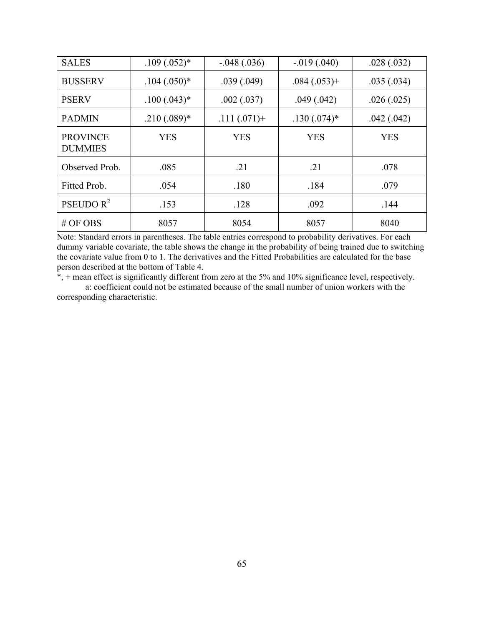| <b>SALES</b>                      | $.109(.052)*$ | $-.048(.036)$  | $-0.019(0.040)$ | .028(.032) |
|-----------------------------------|---------------|----------------|-----------------|------------|
| <b>BUSSERV</b>                    | $.104(.050)*$ | .039(.049)     | $.084(.053) +$  | .035(.034) |
| <b>PSERV</b>                      | $.100(.043)*$ | .002(.037)     | .049(.042)      | .026(.025) |
| <b>PADMIN</b>                     | $.210(.089)*$ | $.111(.071) +$ | $.130(.074)*$   | .042(.042) |
| <b>PROVINCE</b><br><b>DUMMIES</b> | <b>YES</b>    | <b>YES</b>     | <b>YES</b>      | <b>YES</b> |
| Observed Prob.                    | .085          | .21            | .21             | .078       |
| Fitted Prob.                      | .054          | .180           | .184            | .079       |
| PSEUDO $R^2$                      | .153          | .128           | .092            | .144       |
| $#$ OF OBS                        | 8057          | 8054           | 8057            | 8040       |

Note: Standard errors in parentheses. The table entries correspond to probability derivatives. For each dummy variable covariate, the table shows the change in the probability of being trained due to switching the covariate value from 0 to 1. The derivatives and the Fitted Probabilities are calculated for the base person described at the bottom of Table 4.

 $*$ , + mean effect is significantly different from zero at the 5% and 10% significance level, respectively.

a: coefficient could not be estimated because of the small number of union workers with the corresponding characteristic.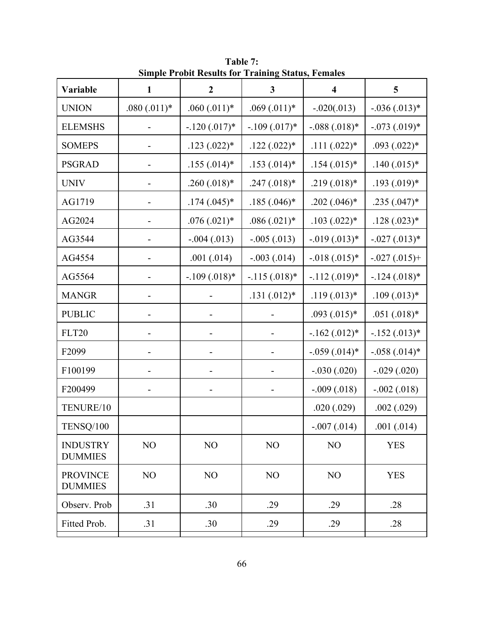| Variable                          | $\mathbf{1}$  | $\overline{2}$ | $\mathbf{3}$   | $\overline{\mathbf{4}}$ | 5               |
|-----------------------------------|---------------|----------------|----------------|-------------------------|-----------------|
| <b>UNION</b>                      | $.080(.011)*$ | $.060(.011)*$  | $.069(.011)*$  | $-.020(.013)$           | $-.036(.013)*$  |
| <b>ELEMSHS</b>                    |               | $-.120(.017)*$ | $-.109(.017)*$ | $-.088(.018)*$          | $-.073(.019)*$  |
| <b>SOMEPS</b>                     |               | $.123(.022)*$  | $.122(.022)*$  | $.111(.022)*$           | $.093(.022)*$   |
| <b>PSGRAD</b>                     |               | $.155(.014)*$  | $.153(.014)*$  | $.154(.015)*$           | $.140(.015)*$   |
| <b>UNIV</b>                       |               | $.260(.018)*$  | $.247(.018)*$  | $.219(.018)*$           | $.193(.019)*$   |
| AG1719                            |               | $.174(.045)*$  | $.185(.046)$ * | $.202(.046)*$           | $.235(.047)$ *  |
| AG2024                            |               | $.076(.021)*$  | $.086(.021)*$  | $.103(.022)*$           | $.128(.023)*$   |
| AG3544                            |               | $-.004(.013)$  | $-.005(.013)$  | $-.019(.013)*$          | $-.027(.013)*$  |
| AG4554                            |               | .001(.014)     | $-.003(.014)$  | $-.018(.015)*$          | $-.027(.015) +$ |
| AG5564                            |               | $-.109(.018)*$ | $-.115(.018)*$ | $-.112(.019)*$          | $-.124(.018)*$  |
| <b>MANGR</b>                      |               |                | $.131(.012)*$  | $.119(.013)*$           | $.109(.013)*$   |
| <b>PUBLIC</b>                     |               |                |                | $.093(.015)*$           | $.051(.018)*$   |
| <b>FLT20</b>                      |               |                |                | $-.162(.012)*$          | $-.152(.013)*$  |
| F2099                             |               |                |                | $-.059(.014)*$          | $-.058(.014)*$  |
| F100199                           |               |                |                | $-.030(.020)$           | $-.029(.020)$   |
| F200499                           |               |                |                | $-.009(.018)$           | $-.002(.018)$   |
| TENURE/10                         |               |                |                | .020(.029)              | .002(.029)      |
| TENSQ/100                         |               |                |                | $-.007(.014)$           | .001(.014)      |
| <b>INDUSTRY</b><br><b>DUMMIES</b> | NO            | NO             | NO             | NO                      | <b>YES</b>      |
| <b>PROVINCE</b><br><b>DUMMIES</b> | NO            | NO             | NO             | NO                      | <b>YES</b>      |
| Observ. Prob                      | .31           | .30            | .29            | .29                     | .28             |
| Fitted Prob.                      | .31           | .30            | .29            | .29                     | .28             |

 **Table 7: Simple Probit Results for Training Status, Females**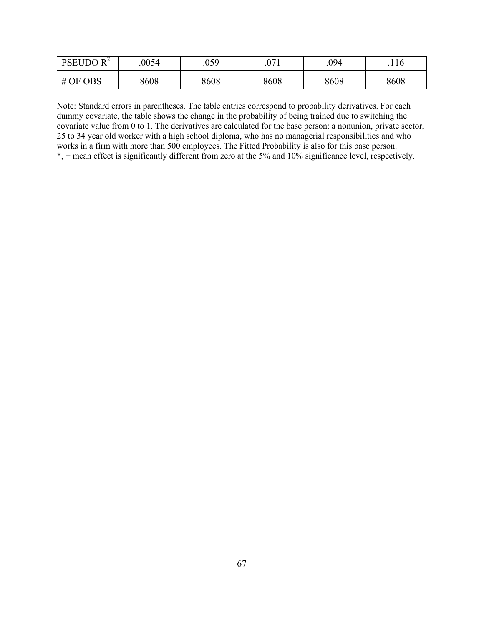| PSEUDO $R^2$ | 0054 | .059 | 0.71<br>.v / 1 | .094 | .110 |
|--------------|------|------|----------------|------|------|
| $#$ OF OBS   | 8608 | 8608 | 8608           | 8608 | 8608 |

Note: Standard errors in parentheses. The table entries correspond to probability derivatives. For each dummy covariate, the table shows the change in the probability of being trained due to switching the covariate value from 0 to 1. The derivatives are calculated for the base person: a nonunion, private sector, 25 to 34 year old worker with a high school diploma, who has no managerial responsibilities and who works in a firm with more than 500 employees. The Fitted Probability is also for this base person. \*, + mean effect is significantly different from zero at the 5% and 10% significance level, respectively.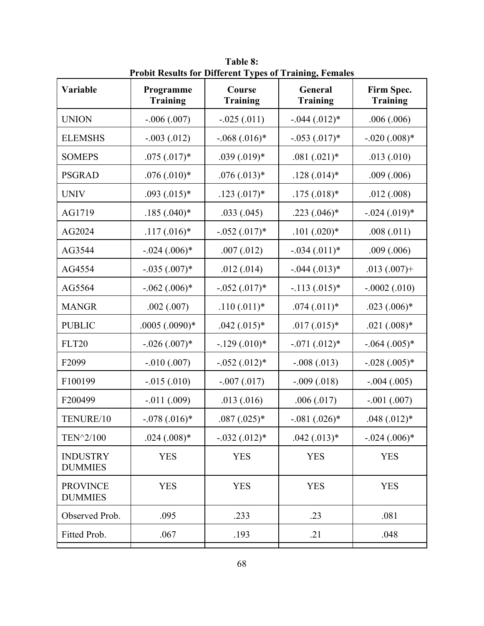| I TODIU NESUIUS IOI DIIIEI EIIU TYPES OL TTAIIIIIIIIS, PEIIIAIES |                           |                            |                               |
|------------------------------------------------------------------|---------------------------|----------------------------|-------------------------------|
| Programme<br><b>Training</b>                                     | Course<br><b>Training</b> | General<br><b>Training</b> | Firm Spec.<br><b>Training</b> |
| $-.006(.007)$                                                    | $-.025(.011)$             | $-0.044$ $(0.012)*$        | .006(.006)                    |
| $-.003(.012)$                                                    | $-.068(.016)*$            | $-.053(.017)*$             | $-.020(.008)*$                |
| $.075(.017)*$                                                    | $.039(.019)*$             | $.081(.021)$ *             | .013(.010)                    |
| $.076(.010)*$                                                    | $.076(.013)*$             | $.128(.014)*$              | .009(.006)                    |
| $.093(.015)*$                                                    | $.123(.017)*$             | $.175(.018)*$              | .012(.008)                    |
| $.185(.040)*$                                                    | .033(.045)                | $.223(.046)*$              | $-.024(.019)*$                |
| $.117(.016)*$                                                    | $-.052(.017)*$            | $.101(.020)*$              | .008(.011)                    |
| $-.024(.006)*$                                                   | .007(.012)                | $-.034(.011)*$             | .009(.006)                    |
| $-.035(.007)*$                                                   | .012(.014)                | $-.044(.013)*$             | $.013(.007) +$                |
| $-.062(.006)*$                                                   | $-.052(.017)*$            | $-.113(.015)*$             | $-.0002(.010)$                |
| .002(.007)                                                       | $.110(.011)*$             | $.074(.011)*$              | $.023(.006)*$                 |
| $.0005(.0090)*$                                                  | $.042(.015)*$             | $.017(.015)*$              | $.021(.008)*$                 |
| $-.026(.007)*$                                                   | $-.129(.010)*$            | $-.071(.012)*$             | $-.064(.005)*$                |
| $-0.010(0.007)$                                                  | $-.052(.012)*$            | $-.008(.013)$              | $-.028(.005)*$                |
| $-.015(.010)$                                                    | $-.007(.017)$             | $-.009(.018)$              | $-.004(.005)$                 |
| $-.011(.009)$                                                    | .013(.016)                | .006(.017)                 | $-.001(.007)$                 |
| $-.078(.016)*$                                                   | $.087(.025)*$             | $-.081(.026)*$             | $.048(.012)*$                 |
| $.024(.008)*$                                                    | $-.032(.012)*$            | $.042(.013)*$              | $-.024(.006)*$                |
| <b>YES</b>                                                       | <b>YES</b>                | <b>YES</b>                 | <b>YES</b>                    |
| <b>YES</b>                                                       | <b>YES</b>                | <b>YES</b>                 | <b>YES</b>                    |
| .095                                                             | .233                      | .23                        | .081                          |
| .067                                                             | .193                      | .21                        | .048                          |
|                                                                  |                           |                            |                               |

 **Table 8: Probit Results for Different Types of Training, Females**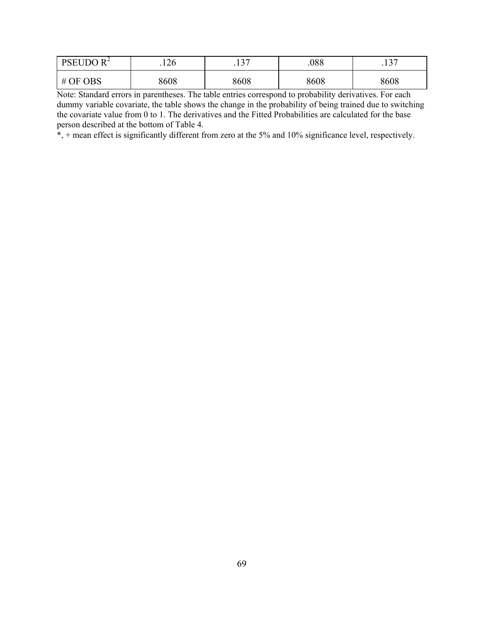| PSEUDO $\mathbb{R}^2$ | .126 | $\sim$<br>. | .088 | $\sim$ |
|-----------------------|------|-------------|------|--------|
| $#$ OF OBS            | 8608 | 8608        | 8608 | 8608   |

Note: Standard errors in parentheses. The table entries correspond to probability derivatives. For each dummy variable covariate, the table shows the change in the probability of being trained due to switching the covariate value from 0 to 1. The derivatives and the Fitted Probabilities are calculated for the base person described at the bottom of Table 4.

 $*$ , + mean effect is significantly different from zero at the 5% and 10% significance level, respectively.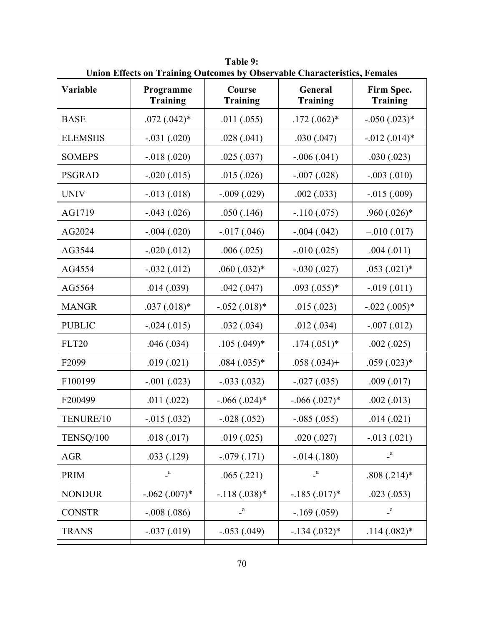| Union Effects on Training Outcomes by Observable Characteristics, Females |                              |                           |                            |                               |
|---------------------------------------------------------------------------|------------------------------|---------------------------|----------------------------|-------------------------------|
| Variable                                                                  | Programme<br><b>Training</b> | Course<br><b>Training</b> | General<br><b>Training</b> | Firm Spec.<br><b>Training</b> |
| <b>BASE</b>                                                               | $.072(.042)*$                | .011(.055)                | $.172(.062)*$              | $-.050(.023)*$                |
| <b>ELEMSHS</b>                                                            | $-.031(.020)$                | .028(.041)                | .030(.047)                 | $-0.012$ (.014) <sup>*</sup>  |
| <b>SOMEPS</b>                                                             | $-0.018(.020)$               | .025(.037)                | $-.006(.041)$              | .030(.023)                    |
| <b>PSGRAD</b>                                                             | $-.020(.015)$                | .015(.026)                | $-.007(.028)$              | $-.003(.010)$                 |
| <b>UNIV</b>                                                               | $-0.013(0.018)$              | $-0.009$ $(0.029)$        | .002(.033)                 | $-0.015(.009)$                |
| AG1719                                                                    | $-0.043(0.026)$              | .050(.146)                | $-.110(.075)$              | $.960(.026)*$                 |
| AG2024                                                                    | $-.004(.020)$                | $-0.017(0.046)$           | $-.004(.042)$              | $-.010(.017)$                 |
| AG3544                                                                    | $-.020(.012)$                | .006(.025)                | $-0.010(0.025)$            | .004(.011)                    |
| AG4554                                                                    | $-.032(.012)$                | $.060(.032)*$             | $-.030(.027)$              | $.053(.021)*$                 |
| AG5564                                                                    | .014(.039)                   | .042(.047)                | $.093(.055)*$              | $-0.019(0.011)$               |
| <b>MANGR</b>                                                              | $.037(.018)*$                | $-.052(.018)*$            | .015(.023)                 | $-.022(.005)*$                |
| <b>PUBLIC</b>                                                             | $-0.024(0.015)$              | .032(.034)                | .012(.034)                 | $-.007(.012)$                 |
| <b>FLT20</b>                                                              | .046(.034)                   | $.105(.049)*$             | $.174(.051)*$              | .002(.025)                    |
| F2099                                                                     | .019(.021)                   | $.084(.035)*$             | $.058(.034) +$             | $.059(.023)*$                 |
| F100199                                                                   | $-.001(.023)$                | $-.033(.032)$             | $-.027(.035)$              | .009(.017)                    |
| F200499                                                                   | .011(.022)                   | $-.066(.024)*$            | $-.066(.027)*$             | .002(.013)                    |
| TENURE/10                                                                 | $-0.015(0.032)$              | $-.028(.052)$             | $-.085(.055)$              | .014(.021)                    |
| TENSQ/100                                                                 | .018(.017)                   | .019(.025)                | .020(.027)                 | $-0.013(0.021)$               |
| AGR                                                                       | .033(.129)                   | $-.079(.171)$             | $-0.014(0.180)$            | $\mathsf{L}^\mathrm{a}$       |
| <b>PRIM</b>                                                               | $\mathbf{a}$                 | .065(.221)                | $\mathbf{a}$               | $.808(.214)*$                 |
| <b>NONDUR</b>                                                             | $-.062(.007)*$               | $-.118(.038)*$            | $-.185(.017)*$             | .023(.053)                    |
| <b>CONSTR</b>                                                             | $-.008(.086)$                | $\mathbf{a}$              | $-169(059)$                | $\mathsf{L}^\mathrm{a}$       |
| <b>TRANS</b>                                                              | $-.037(.019)$                | $-.053(.049)$             | $-.134(.032)*$             | $.114(.082)*$                 |
|                                                                           |                              |                           |                            |                               |

 **Table 9: Union Effects on Training Outcomes by Observable Characteristics, Females**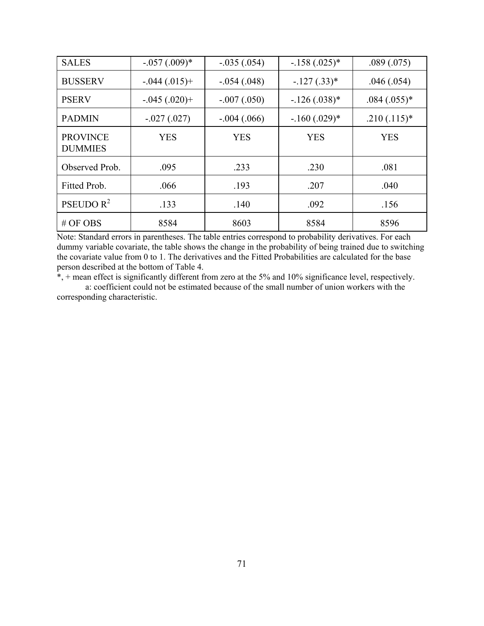| <b>SALES</b>                      | $-.057(.009)*$    | $-.035(.054)$ | $-158(.025)$ * | .089(.075)    |
|-----------------------------------|-------------------|---------------|----------------|---------------|
| <b>BUSSERV</b>                    | $-0.044(0.015)$ + | $-.054(.048)$ | $-127(.33)*$   | .046(.054)    |
| <b>PSERV</b>                      | $-.045(.020) +$   | $-.007(.050)$ | $-126(.038)*$  | $.084(.055)*$ |
| <b>PADMIN</b>                     | $-.027(.027)$     | $-.004(.066)$ | $-.160(.029)*$ | $.210(.115)*$ |
| <b>PROVINCE</b><br><b>DUMMIES</b> | <b>YES</b>        | <b>YES</b>    | <b>YES</b>     | <b>YES</b>    |
| Observed Prob.                    | .095              | .233          | .230           | .081          |
| Fitted Prob.                      | .066              | .193          | .207           | .040          |
| PSEUDO $R^2$                      | .133              | .140          | .092           | .156          |
| $#$ OF OBS                        | 8584              | 8603          | 8584           | 8596          |

Note: Standard errors in parentheses. The table entries correspond to probability derivatives. For each dummy variable covariate, the table shows the change in the probability of being trained due to switching the covariate value from 0 to 1. The derivatives and the Fitted Probabilities are calculated for the base person described at the bottom of Table 4.

 $*$ , + mean effect is significantly different from zero at the 5% and 10% significance level, respectively.

a: coefficient could not be estimated because of the small number of union workers with the corresponding characteristic.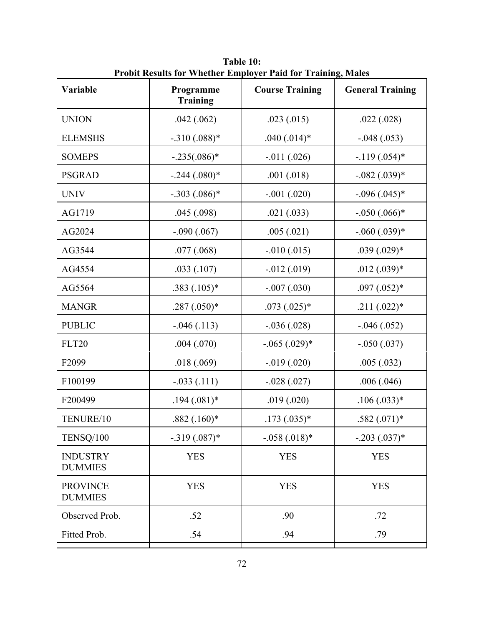| Programme<br><b>Training</b> | <b>Course Training</b> | r robit iscsuits for Whether Employer Faiu for Training, Males<br><b>General Training</b> |
|------------------------------|------------------------|-------------------------------------------------------------------------------------------|
| .042(.062)                   | .023(.015)             | .022(.028)                                                                                |
| $-.310(.088)*$               | $.040(.014)*$          | $-.048(.053)$                                                                             |
| $-.235(.086)*$               | $-.011(.026)$          | $-119(.054)$ *                                                                            |
| $-.244(.080)*$               | .001(.018)             | $-.082(.039)*$                                                                            |
| $-.303(.086)*$               | $-.001(.020)$          | $-.096(.045)*$                                                                            |
| .045(.098)                   | .021(.033)             | $-.050(.066)*$                                                                            |
| $-.090(.067)$                | .005(.021)             | $-.060(.039)*$                                                                            |
| .077(.068)                   | $-.010(.015)$          | $.039(.029)*$                                                                             |
| .033(.107)                   | $-0.012(0.019)$        | $.012(.039)*$                                                                             |
| $.383(.105)*$                | $-.007(.030)$          | $.097(.052)*$                                                                             |
| $.287(.050)*$                | $.073(.025)*$          | $.211(.022)*$                                                                             |
| $-.046(.113)$                | $-.036(.028)$          | $-0.046(0.052)$                                                                           |
| .004(.070)                   | $-.065(.029)*$         | $-.050(.037)$                                                                             |
| .018(.069)                   | $-0.019(0.020)$        | .005(.032)                                                                                |
| $-.033(.111)$                | $-.028(.027)$          | .006(.046)                                                                                |
| $.194(.081)$ *               | .019(.020)             | $.106(.033)*$                                                                             |
| $.882(.160)*$                | $.173(.035)*$          | $.582(.071)*$                                                                             |
| $-.319(.087)*$               | $-.058(.018)*$         | $-.203(.037)*$                                                                            |
| <b>YES</b>                   | <b>YES</b>             | <b>YES</b>                                                                                |
| <b>YES</b>                   | <b>YES</b>             | <b>YES</b>                                                                                |
| .52                          | .90                    | .72                                                                                       |
| .54                          | .94                    | .79                                                                                       |
|                              |                        |                                                                                           |

 **Table 10: Probit Results for Whether Employer Paid for Training, Males**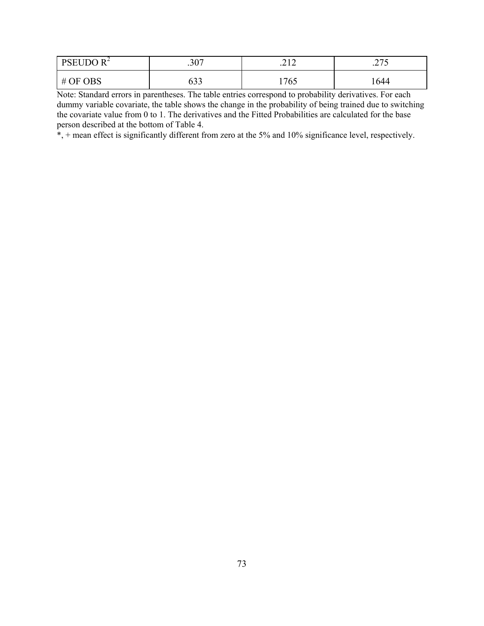| PSEUDO $R^2$                                   | 207           | $\sim$ 1 $\sim$ | $\bigcap$ |
|------------------------------------------------|---------------|-----------------|-----------|
|                                                | ، טכ          | $\overline{a}$  | ں است     |
| <b>OBS</b><br>$\overline{\mathrm{OF}}$<br>$\#$ | $\sim$<br>ບບບ | 1765            | 644       |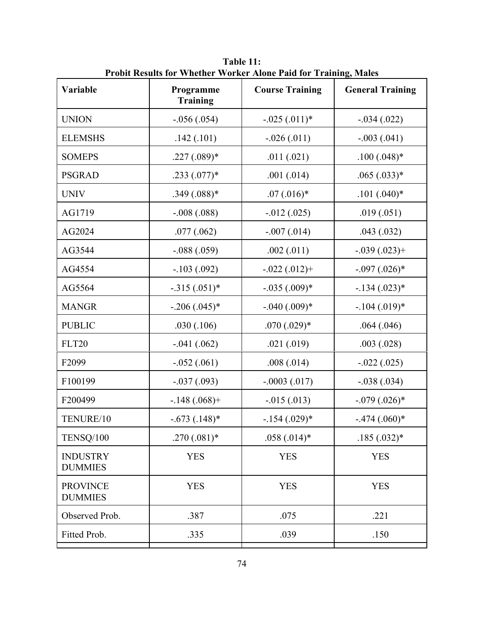| Variable                          | <b>Course Training</b><br>Programme<br><b>Training</b> |                 | <b>General Training</b> |
|-----------------------------------|--------------------------------------------------------|-----------------|-------------------------|
| <b>UNION</b>                      | $-0.056(0.054)$                                        | $-.025(.011)*$  | $-.034(.022)$           |
| <b>ELEMSHS</b>                    | .142(.101)                                             | $-.026(.011)$   | $-.003(.041)$           |
| <b>SOMEPS</b>                     | $.227(.089)*$                                          | .011(.021)      | $.100(.048)*$           |
| <b>PSGRAD</b>                     | $.233(.077)*$                                          | .001(.014)      | $.065(.033)*$           |
| <b>UNIV</b>                       | $.349(.088)*$                                          | $.07(.016)*$    | $.101(.040)*$           |
| AG1719                            | $-.008(.088)$                                          | $-0.012(0.025)$ | .019(.051)              |
| AG2024                            | .077(.062)                                             | $-.007(.014)$   | .043(.032)              |
| AG3544                            | $-.088(.059)$                                          | .002(.011)      | $-.039(.023) +$         |
| AG4554                            | $-.103(.092)$                                          | $-.022(.012)+$  | $-.097(.026)*$          |
| AG5564                            | $-.315(.051)*$                                         | $-.035(.009)*$  | $-.134(.023)*$          |
| <b>MANGR</b>                      | $-.206(.045)*$                                         | $-.040(.009)*$  | $-.104(.019)*$          |
| <b>PUBLIC</b>                     | .030(.106)                                             | $.070(.029)*$   | .064(.046)              |
| FLT20                             | $-.041(.062)$                                          | .021(.019)      | .003(.028)              |
| F2099                             | $-.052(.061)$                                          | .008(.014)      | $-.022(.025)$           |
| F100199                           | $-.037(.093)$                                          | $-.0003(.017)$  | $-.038(.034)$           |
| F200499                           | $-.148(.068) +$                                        | $-0.015(0.013)$ | $-.079(.026)*$          |
| TENURE/10                         | $-.673(.148)*$                                         | $-.154(.029)*$  | $-.474(.060)*$          |
| TENSQ/100                         | $.270(.081)$ *                                         | $.058(.014)*$   | $.185(.032)*$           |
| <b>INDUSTRY</b><br><b>DUMMIES</b> | <b>YES</b>                                             | <b>YES</b>      | <b>YES</b>              |
| <b>PROVINCE</b><br><b>DUMMIES</b> | <b>YES</b>                                             | <b>YES</b>      | <b>YES</b>              |
| Observed Prob.                    | .387                                                   | .075            | .221                    |
| Fitted Prob.                      | .335                                                   | .039            | .150                    |

 **Table 11: Probit Results for Whether Worker Alone Paid for Training, Males**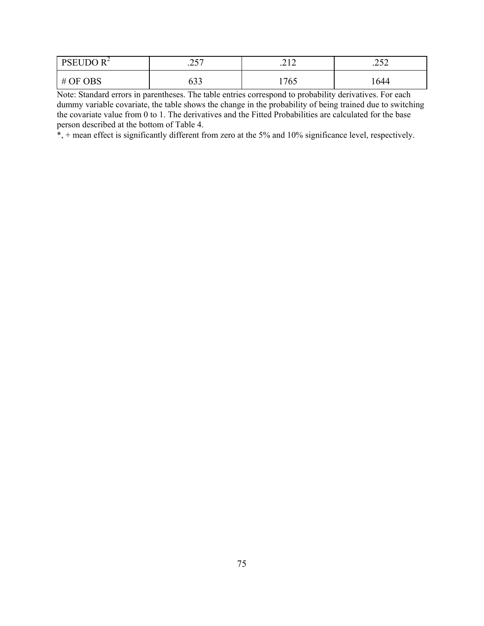| PSEUDO $R^2$           | $\sim$ $\sim$ $\sim$ | <b>010</b>     | $\sim$ $\sim$ $\sim$ |
|------------------------|----------------------|----------------|----------------------|
|                        | ا پ⊾.                | $\overline{a}$ | ⊿ب∠ …                |
| <b>OBS</b><br>-)F<br>丑 | $\sim$<br>ບບບ        | 1765           | 644                  |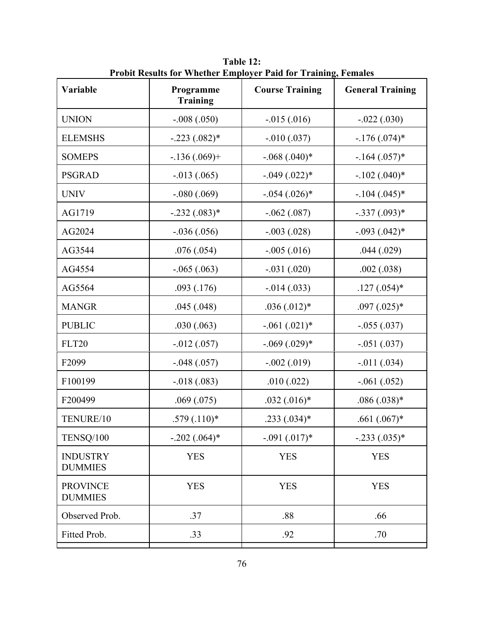| $-.022(.030)$<br>$-176(0.074)$ *<br>$-164$ $(.057)*$<br>$-.102(.040)*$<br>$-.104(.045)*$ |
|------------------------------------------------------------------------------------------|
|                                                                                          |
|                                                                                          |
|                                                                                          |
|                                                                                          |
|                                                                                          |
| $-.337(.093)*$                                                                           |
| $-.093(.042)*$                                                                           |
| .044(.029)                                                                               |
| .002(.038)                                                                               |
| $.127(.054)*$                                                                            |
| $.097(.025)*$                                                                            |
| $-.055(.037)$                                                                            |
| $-.051(.037)$                                                                            |
| $-0.011(0.034)$                                                                          |
| $-.061(.052)$                                                                            |
| $.086(.038)*$                                                                            |
| $.661(.067)$ *                                                                           |
| $-.233(.035)*$                                                                           |
| <b>YES</b>                                                                               |
| <b>YES</b>                                                                               |
| .66                                                                                      |
| .70                                                                                      |
|                                                                                          |

 **Table 12: Probit Results for Whether Employer Paid for Training, Females**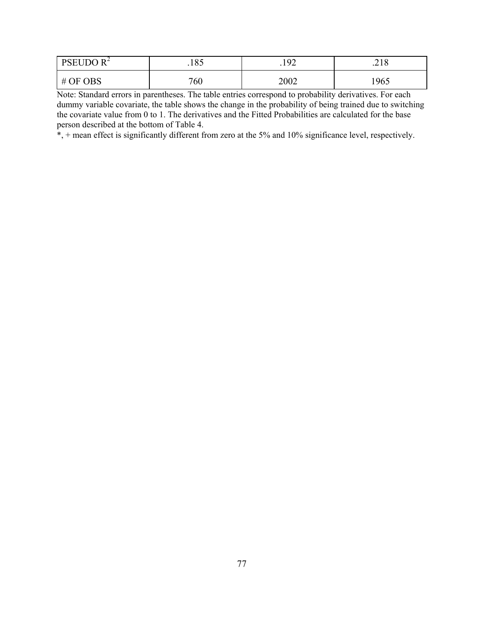| PSEUDO $R^2$ | $O \subset$<br>.105 | .192 | .410 |
|--------------|---------------------|------|------|
| OF OBS<br>"  | 760                 | 2002 | 1965 |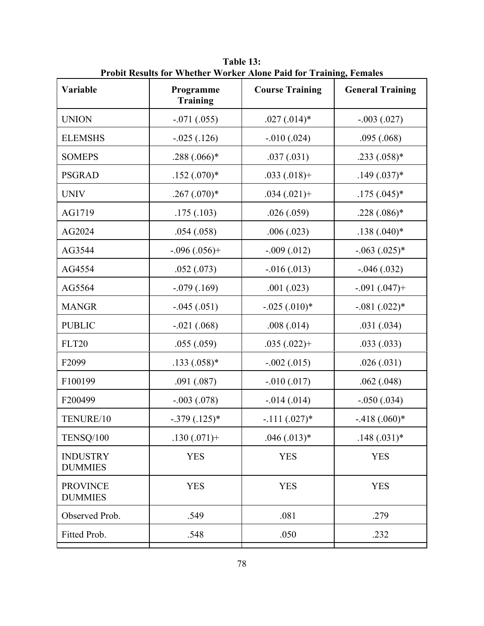| Variable                          | I TODICINISHIIS IOI "MINUNCI" MOTINI AIOIN I AND I TAHIHIG, PUHANS<br>Programme<br><b>Training</b> | <b>Course Training</b> | <b>General Training</b> |
|-----------------------------------|----------------------------------------------------------------------------------------------------|------------------------|-------------------------|
| <b>UNION</b>                      | $-.071(.055)$                                                                                      | $.027(.014)*$          | $-.003(.027)$           |
| <b>ELEMSHS</b>                    | $-0.025(0.126)$                                                                                    | $-0.010(0.024)$        | .095(.068)              |
| <b>SOMEPS</b>                     | $.288(.066)*$                                                                                      | .037(.031)             | $.233(.058)*$           |
| <b>PSGRAD</b>                     | $.152(.070)*$                                                                                      | $.033(.018) +$         | $.149(.037)*$           |
| <b>UNIV</b>                       | $.267(.070)*$                                                                                      | $.034(.021) +$         | $.175(.045)*$           |
| AG1719                            | .175(.103)                                                                                         | .026(.059)             | $.228(.086)*$           |
| AG2024                            | .054(.058)                                                                                         | .006(.023)             | $.138(.040)*$           |
| AG3544                            | $-.096(.056) +$                                                                                    | $-.009(.012)$          | $-.063(.025)*$          |
| AG4554                            | .052(.073)                                                                                         | $-0.016(0.013)$        | $-0.046(0.032)$         |
| AG5564                            | $-.079(.169)$                                                                                      | .001(.023)             | $-.091(.047) +$         |
| <b>MANGR</b>                      | $-.045(.051)$                                                                                      | $-.025(.010)*$         | $-.081(.022)*$          |
| <b>PUBLIC</b>                     | $-.021(.068)$                                                                                      | .008(.014)             | .031(.034)              |
| FLT20                             | .055(.059)                                                                                         | $.035(.022) +$         | .033(.033)              |
| F2099                             | $.133(.058)*$                                                                                      | $-.002(.015)$          | .026(.031)              |
| F100199                           | .091(.087)                                                                                         | $-0.010(0.017)$        | .062(.048)              |
| F200499                           | $-.003(.078)$                                                                                      | $-0.014(0.014)$        | $-.050(.034)$           |
| TENURE/10                         | $-.379(.125)*$                                                                                     | $-.111(.027)*$         | $-.418(.060)*$          |
| TENSQ/100                         | $.130(.071) +$                                                                                     | $.046(.013)*$          | $.148(.031)*$           |
| <b>INDUSTRY</b><br><b>DUMMIES</b> | <b>YES</b>                                                                                         | <b>YES</b>             | <b>YES</b>              |
| <b>PROVINCE</b><br><b>DUMMIES</b> | <b>YES</b>                                                                                         | <b>YES</b>             | <b>YES</b>              |
| Observed Prob.                    | .549                                                                                               | .081                   | .279                    |
| Fitted Prob.                      | .548                                                                                               | .050                   | .232                    |
|                                   |                                                                                                    |                        |                         |

 **Table 13: Probit Results for Whether Worker Alone Paid for Training, Females**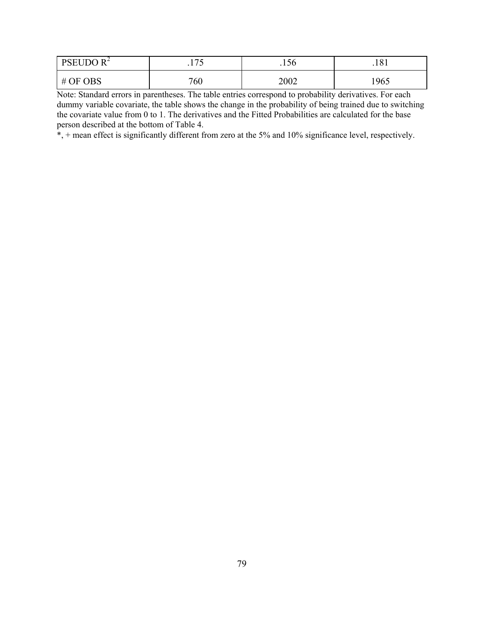| PSEUDO $R^2$            | 75<br>. . <i>. .</i> | .136 | $\circ$<br>.101 |
|-------------------------|----------------------|------|-----------------|
| <b>OBS</b><br>OF<br># ! | 760                  | 2002 | 1965            |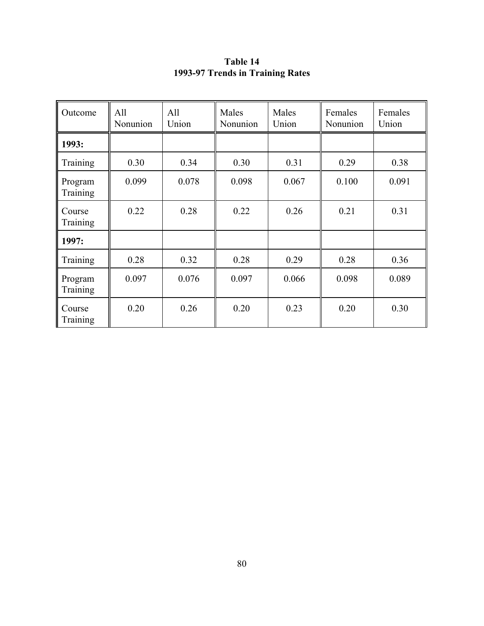| Outcome             | All<br>Nonunion | All<br>Union | Males<br>Nonunion | Males<br>Union | Females<br>Nonunion | Females<br>Union |
|---------------------|-----------------|--------------|-------------------|----------------|---------------------|------------------|
| 1993:               |                 |              |                   |                |                     |                  |
| Training            | 0.30            | 0.34         | 0.30              | 0.31           | 0.29                | 0.38             |
| Program<br>Training | 0.099           | 0.078        | 0.098             | 0.067          | 0.100               | 0.091            |
| Course<br>Training  | 0.22            | 0.28         | 0.22              | 0.26           | 0.21                | 0.31             |
| 1997:               |                 |              |                   |                |                     |                  |
| Training            | 0.28            | 0.32         | 0.28              | 0.29           | 0.28                | 0.36             |
| Program<br>Training | 0.097           | 0.076        | 0.097             | 0.066          | 0.098               | 0.089            |
| Course<br>Training  | 0.20            | 0.26         | 0.20              | 0.23           | 0.20                | 0.30             |

**Table 14 1993-97 Trends in Training Rates**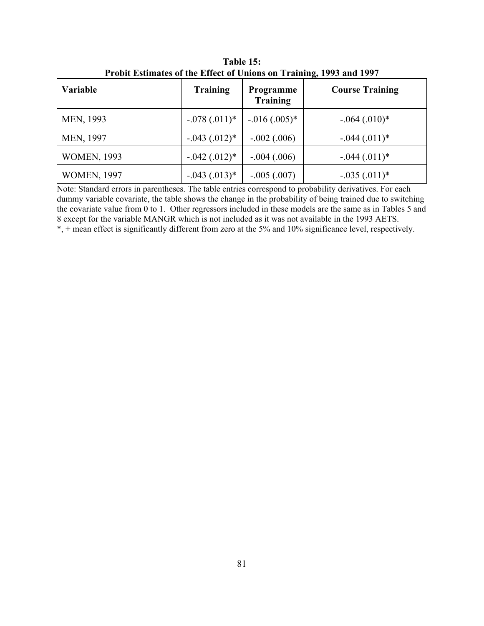| Variable           | <b>Training</b>   | Programme<br><b>Training</b> | <b>Course Training</b> |
|--------------------|-------------------|------------------------------|------------------------|
| MEN, 1993          | $-.078(.011)*$    | $-0.016(0.005)*$             | $-.064(.010)*$         |
| MEN, 1997          | $-.043(.012)*$    | $-.002(.006)$                | $-0.044(0.011)*$       |
| <b>WOMEN, 1993</b> | $-0.042(0.012)^*$ | $-.004(.006)$                | $-0.044(0.011)*$       |
| <b>WOMEN, 1997</b> | $-.043(.013)*$    | $-.005(.007)$                | $-.035(.011)*$         |

 **Table 15: Probit Estimates of the Effect of Unions on Training, 1993 and 1997**

Note: Standard errors in parentheses. The table entries correspond to probability derivatives. For each dummy variable covariate, the table shows the change in the probability of being trained due to switching the covariate value from 0 to 1. Other regressors included in these models are the same as in Tables 5 and 8 except for the variable MANGR which is not included as it was not available in the 1993 AETS.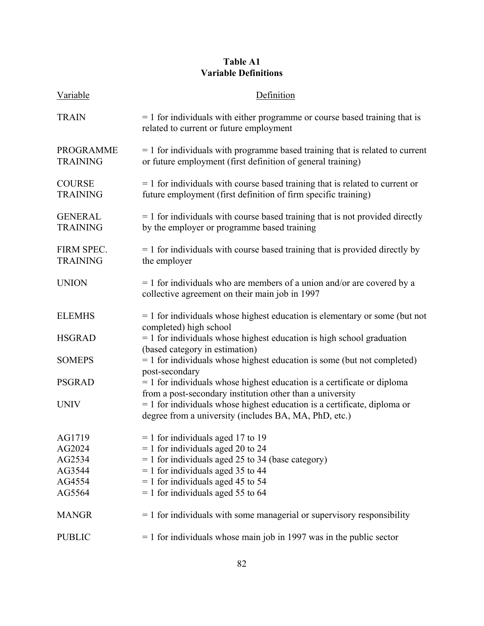## **Table A1 Variable Definitions**

| Variable                            | Definition                                                                                                                                       |
|-------------------------------------|--------------------------------------------------------------------------------------------------------------------------------------------------|
| <b>TRAIN</b>                        | $=$ 1 for individuals with either programme or course based training that is<br>related to current or future employment                          |
| <b>PROGRAMME</b><br><b>TRAINING</b> | $=$ 1 for individuals with programme based training that is related to current<br>or future employment (first definition of general training)    |
| <b>COURSE</b><br><b>TRAINING</b>    | $=$ 1 for individuals with course based training that is related to current or<br>future employment (first definition of firm specific training) |
| <b>GENERAL</b><br><b>TRAINING</b>   | $=$ 1 for individuals with course based training that is not provided directly<br>by the employer or programme based training                    |
| FIRM SPEC.<br><b>TRAINING</b>       | $=$ 1 for individuals with course based training that is provided directly by<br>the employer                                                    |
| <b>UNION</b>                        | $=$ 1 for individuals who are members of a union and/or are covered by a<br>collective agreement on their main job in 1997                       |
| <b>ELEMHS</b>                       | $=$ 1 for individuals whose highest education is elementary or some (but not<br>completed) high school                                           |
| <b>HSGRAD</b>                       | $=$ 1 for individuals whose highest education is high school graduation<br>(based category in estimation)                                        |
| <b>SOMEPS</b>                       | $= 1$ for individuals whose highest education is some (but not completed)<br>post-secondary                                                      |
| <b>PSGRAD</b>                       | $=$ 1 for individuals whose highest education is a certificate or diploma<br>from a post-secondary institution other than a university           |
| <b>UNIV</b>                         | $=$ 1 for individuals whose highest education is a certificate, diploma or<br>degree from a university (includes BA, MA, PhD, etc.)              |
| AG1719                              | $= 1$ for individuals aged 17 to 19                                                                                                              |
| AG2024                              | $= 1$ for individuals aged 20 to 24                                                                                                              |
| AG2534                              | $= 1$ for individuals aged 25 to 34 (base category)                                                                                              |
| AG3544                              | $= 1$ for individuals aged 35 to 44                                                                                                              |
| AG4554                              | $= 1$ for individuals aged 45 to 54                                                                                                              |
| AG5564                              | $= 1$ for individuals aged 55 to 64                                                                                                              |
| <b>MANGR</b>                        | $=$ 1 for individuals with some managerial or supervisory responsibility                                                                         |
| <b>PUBLIC</b>                       | $=$ 1 for individuals whose main job in 1997 was in the public sector                                                                            |